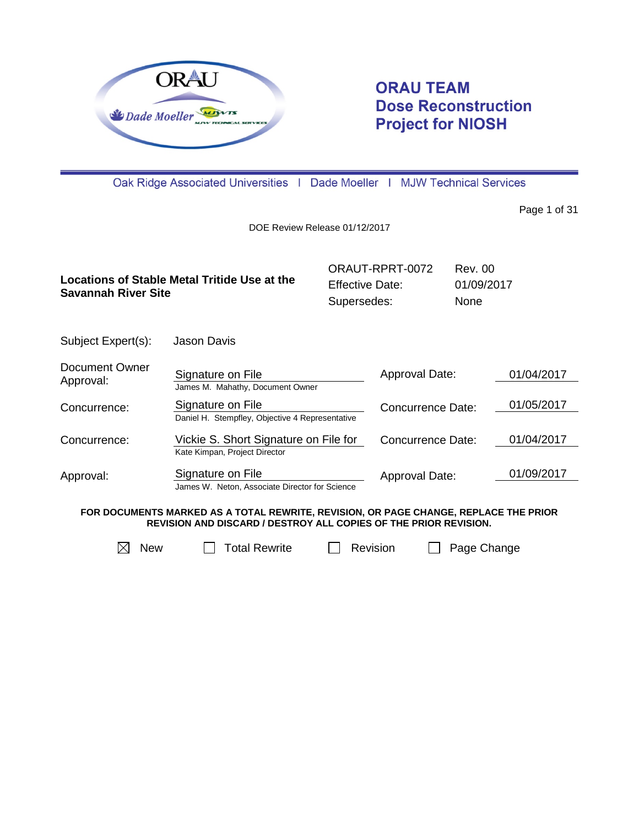

# **ORAU TEAM Dose Reconstruction Project for NIOSH**

Oak Ridge Associated Universities | Dade Moeller | MJW Technical Services

Page 1 of 31

DOE Review Release 01/12/2017

|                                              | ORAUT-RPRT-0072 | Rev. 00     |
|----------------------------------------------|-----------------|-------------|
| Locations of Stable Metal Tritide Use at the | Effective Date: | 01/09/2017  |
| Savannah River Site                          | Supersedes:     | <b>None</b> |

Subject Expert(s): Jason Davis

| Document Owner<br>Approval: | Signature on File<br>James M. Mahathy, Document Owner                  | Approval Date:           | 01/04/2017 |
|-----------------------------|------------------------------------------------------------------------|--------------------------|------------|
| Concurrence:                | Signature on File<br>Daniel H. Stempfley, Objective 4 Representative   | <b>Concurrence Date:</b> | 01/05/2017 |
| Concurrence:                | Vickie S. Short Signature on File for<br>Kate Kimpan, Project Director | <b>Concurrence Date:</b> | 01/04/2017 |
| Approval:                   | Signature on File<br>James W. Neton, Associate Director for Science    | Approval Date:           | 01/09/2017 |

**FOR DOCUMENTS MARKED AS A TOTAL REWRITE, REVISION, OR PAGE CHANGE, REPLACE THE PRIOR REVISION AND DISCARD / DESTROY ALL COPIES OF THE PRIOR REVISION.**

 $\boxtimes$  New  $\Box$  Total Rewrite  $\Box$  Revision  $\Box$  Page Change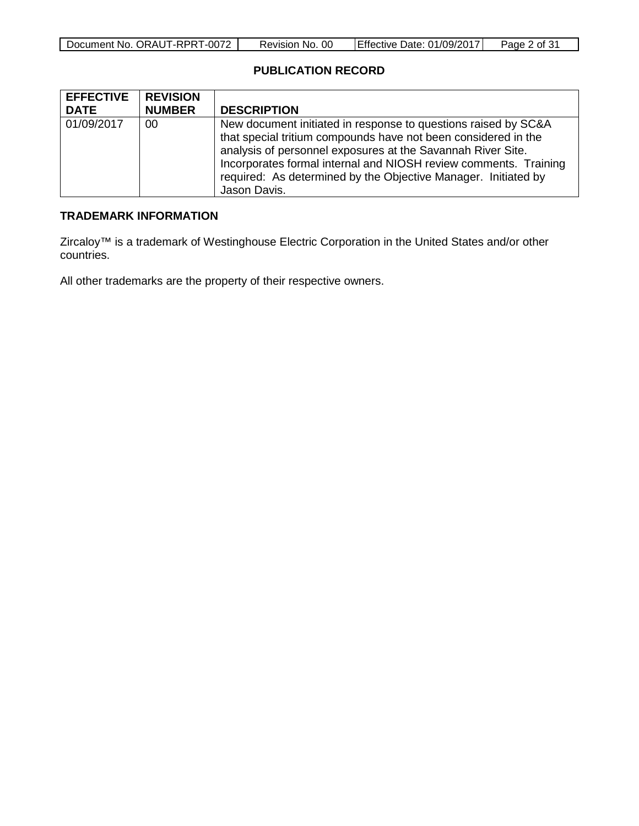| Document No. ORAUT-RPRT-0072 | 00<br>Revision No. | <b>Effective Date: 01/09/2017</b> | <u>? of 31</u><br>Page $\angle$ |
|------------------------------|--------------------|-----------------------------------|---------------------------------|

# **PUBLICATION RECORD**

| <b>EFFECTIVE</b> | <b>REVISION</b> |                                                                                                                                                                                                                                                                                                                                                       |
|------------------|-----------------|-------------------------------------------------------------------------------------------------------------------------------------------------------------------------------------------------------------------------------------------------------------------------------------------------------------------------------------------------------|
| <b>DATE</b>      | <b>NUMBER</b>   | <b>DESCRIPTION</b>                                                                                                                                                                                                                                                                                                                                    |
| 01/09/2017       | 00              | New document initiated in response to questions raised by SC&A<br>that special tritium compounds have not been considered in the<br>analysis of personnel exposures at the Savannah River Site.<br>Incorporates formal internal and NIOSH review comments. Training<br>required: As determined by the Objective Manager. Initiated by<br>Jason Davis. |

# **TRADEMARK INFORMATION**

Zircaloy™ is a trademark of Westinghouse Electric Corporation in the United States and/or other countries.

All other trademarks are the property of their respective owners.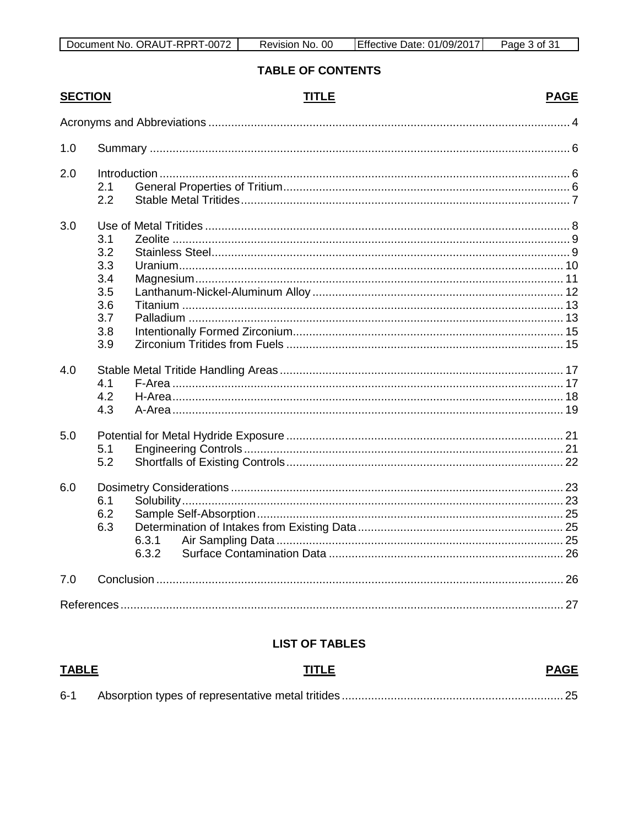# **TABLE OF CONTENTS**

| <b>SECTION</b> |            | <b>TITLE</b> | <b>PAGE</b> |
|----------------|------------|--------------|-------------|
|                |            |              |             |
| 1.0            |            |              |             |
| 2.0            | 2.1        |              |             |
|                | 2.2        |              |             |
| 3.0            |            |              |             |
|                | 3.1        |              |             |
|                | 3.2<br>3.3 |              |             |
|                | 3.4        |              |             |
|                | 3.5        |              |             |
|                | 3.6        |              |             |
|                | 3.7        |              |             |
|                | 3.8        |              |             |
|                | 3.9        |              |             |
| 4.0            |            |              |             |
|                | 4.1        |              |             |
|                | 4.2        |              |             |
|                | 4.3        |              |             |
| 5.0            |            |              |             |
|                | 5.1        |              |             |
|                | 5.2        |              |             |
| 6.0            |            |              |             |
|                | 6.1        |              |             |
|                | 6.2        |              |             |
|                | 6.3        |              |             |
|                |            | 6.3.1        |             |
|                |            | 6.3.2        |             |
| 7.0            |            |              |             |
|                |            |              |             |

### **LIST OF TABLES**

| <b>TABLE</b> | TITLE | <b>PAGE</b> |
|--------------|-------|-------------|
| $6 - 1$      |       |             |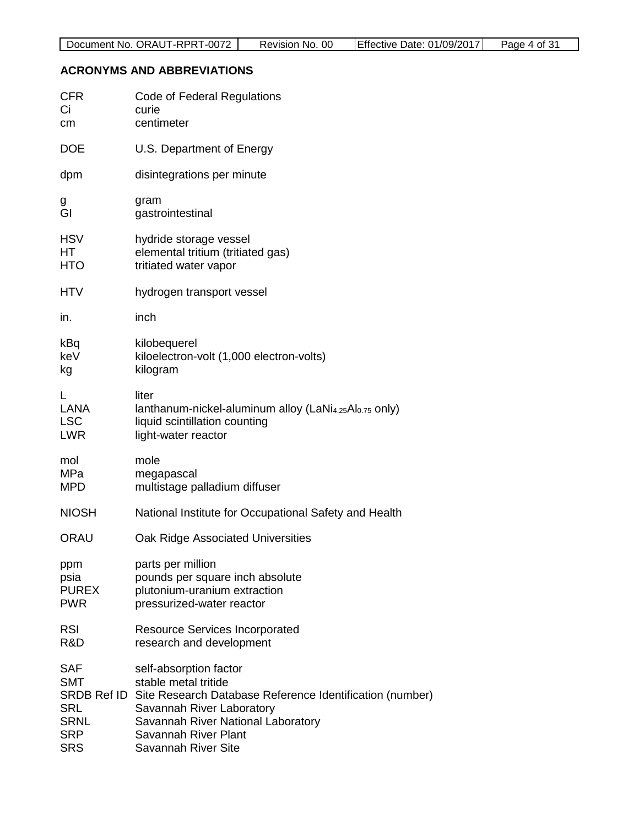#### <span id="page-3-0"></span>**ACRONYMS AND ABBREVIATIONS**

| <b>CFR</b>   | <b>Code of Federal Regulations</b>                                             |
|--------------|--------------------------------------------------------------------------------|
| Ci           | curie                                                                          |
| cm           | centimeter                                                                     |
| <b>DOE</b>   | U.S. Department of Energy                                                      |
| dpm          | disintegrations per minute                                                     |
| g            | gram                                                                           |
| GI           | gastrointestinal                                                               |
| <b>HSV</b>   | hydride storage vessel                                                         |
| HТ           | elemental tritium (tritiated gas)                                              |
| HTO          | tritiated water vapor                                                          |
| <b>HTV</b>   | hydrogen transport vessel                                                      |
| in.          | inch                                                                           |
| kBq          | kilobequerel                                                                   |
| keV          | kiloelectron-volt (1,000 electron-volts)                                       |
| kg           | kilogram                                                                       |
| L            | liter                                                                          |
| LANA         | lanthanum-nickel-aluminum alloy (LaNi <sub>4.25</sub> Al <sub>0.75</sub> only) |
| <b>LSC</b>   | liquid scintillation counting                                                  |
| <b>LWR</b>   | light-water reactor                                                            |
| mol          | mole                                                                           |
| MPa          | megapascal                                                                     |
| <b>MPD</b>   | multistage palladium diffuser                                                  |
| <b>NIOSH</b> | National Institute for Occupational Safety and Health                          |
| ORAU         | Oak Ridge Associated Universities                                              |
| ppm          | parts per million                                                              |
| psia         | pounds per square inch absolute                                                |
| <b>PUREX</b> | plutonium-uranium extraction                                                   |
| <b>PWR</b>   | pressurized-water reactor                                                      |
| <b>RSI</b>   | <b>Resource Services Incorporated</b>                                          |
| R&D          | research and development                                                       |
| <b>SAF</b>   | self-absorption factor                                                         |
| SMT          | stable metal tritide                                                           |
| SRDB Ref ID  | Site Research Database Reference Identification (number)                       |
| <b>SRL</b>   | Savannah River Laboratory                                                      |
| <b>SRNL</b>  | Savannah River National Laboratory                                             |
| <b>SRP</b>   | Savannah River Plant                                                           |
| <b>SRS</b>   | <b>Savannah River Site</b>                                                     |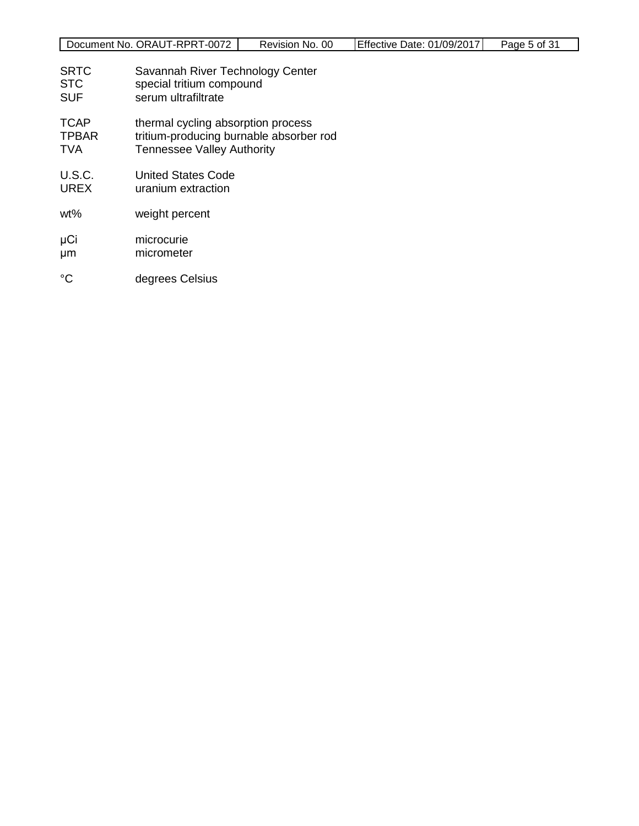|  | Document No. ORAUT-RPRT-0072 | Revision No. 00 | Effective Date: 01/09/2017 | Page 5 of 31 |
|--|------------------------------|-----------------|----------------------------|--------------|
|--|------------------------------|-----------------|----------------------------|--------------|

- SRTC Savannah River Technology Center<br>STC special tritium compound
- STC special tritium compound<br>SUF serum ultrafiltrate
- serum ultrafiltrate
- TCAP thermal cycling absorption process
- TPBAR tritium-producing burnable absorber rod
- TVA Tennessee Valley Authority
- U.S.C. United States Code<br>UREX uranium extraction
- uranium extraction
- wt% weight percent
- μCi microcurie<br>μm micrometer micrometer
- °C degrees Celsius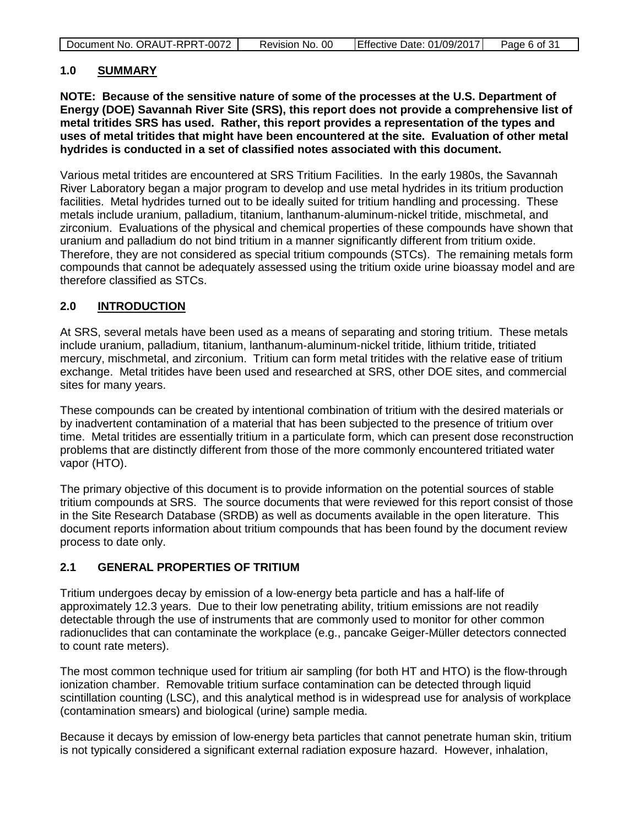| Document No. ORAUT-RPRT-0072 | ററ<br>Revision No. | Effective Date: 01/09/2017 | Page 6 of 31 |
|------------------------------|--------------------|----------------------------|--------------|

### <span id="page-5-0"></span>**1.0 SUMMARY**

**NOTE: Because of the sensitive nature of some of the processes at the U.S. Department of Energy (DOE) Savannah River Site (SRS), this report does not provide a comprehensive list of metal tritides SRS has used. Rather, this report provides a representation of the types and uses of metal tritides that might have been encountered at the site. Evaluation of other metal hydrides is conducted in a set of classified notes associated with this document.**

Various metal tritides are encountered at SRS Tritium Facilities. In the early 1980s, the Savannah River Laboratory began a major program to develop and use metal hydrides in its tritium production facilities. Metal hydrides turned out to be ideally suited for tritium handling and processing. These metals include uranium, palladium, titanium, lanthanum-aluminum-nickel tritide, mischmetal, and zirconium. Evaluations of the physical and chemical properties of these compounds have shown that uranium and palladium do not bind tritium in a manner significantly different from tritium oxide. Therefore, they are not considered as special tritium compounds (STCs). The remaining metals form compounds that cannot be adequately assessed using the tritium oxide urine bioassay model and are therefore classified as STCs.

### <span id="page-5-1"></span>**2.0 INTRODUCTION**

At SRS, several metals have been used as a means of separating and storing tritium. These metals include uranium, palladium, titanium, lanthanum-aluminum-nickel tritide, lithium tritide, tritiated mercury, mischmetal, and zirconium. Tritium can form metal tritides with the relative ease of tritium exchange. Metal tritides have been used and researched at SRS, other DOE sites, and commercial sites for many years.

These compounds can be created by intentional combination of tritium with the desired materials or by inadvertent contamination of a material that has been subjected to the presence of tritium over time. Metal tritides are essentially tritium in a particulate form, which can present dose reconstruction problems that are distinctly different from those of the more commonly encountered tritiated water vapor (HTO).

The primary objective of this document is to provide information on the potential sources of stable tritium compounds at SRS. The source documents that were reviewed for this report consist of those in the Site Research Database (SRDB) as well as documents available in the open literature. This document reports information about tritium compounds that has been found by the document review process to date only.

### <span id="page-5-2"></span>**2.1 GENERAL PROPERTIES OF TRITIUM**

Tritium undergoes decay by emission of a low-energy beta particle and has a half-life of approximately 12.3 years. Due to their low penetrating ability, tritium emissions are not readily detectable through the use of instruments that are commonly used to monitor for other common radionuclides that can contaminate the workplace (e.g., pancake Geiger-Müller detectors connected to count rate meters).

The most common technique used for tritium air sampling (for both HT and HTO) is the flow-through ionization chamber. Removable tritium surface contamination can be detected through liquid scintillation counting (LSC), and this analytical method is in widespread use for analysis of workplace (contamination smears) and biological (urine) sample media.

Because it decays by emission of low-energy beta particles that cannot penetrate human skin, tritium is not typically considered a significant external radiation exposure hazard. However, inhalation,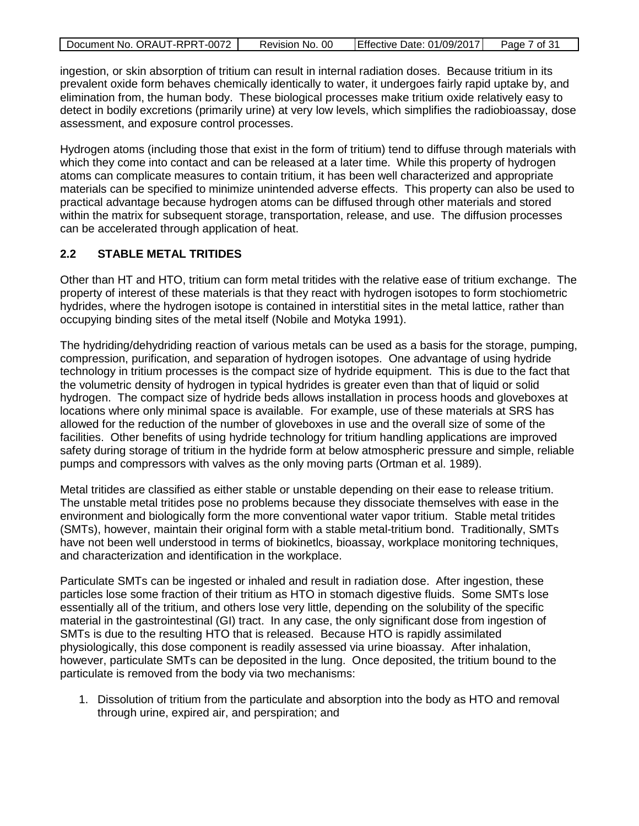| Document No. ORAUT-RPRT-0072 | Revision No. 00 | Effective Date: 01/09/2017 | Page 7 of 31 |
|------------------------------|-----------------|----------------------------|--------------|

ingestion, or skin absorption of tritium can result in internal radiation doses. Because tritium in its prevalent oxide form behaves chemically identically to water, it undergoes fairly rapid uptake by, and elimination from, the human body. These biological processes make tritium oxide relatively easy to detect in bodily excretions (primarily urine) at very low levels, which simplifies the radiobioassay, dose assessment, and exposure control processes.

Hydrogen atoms (including those that exist in the form of tritium) tend to diffuse through materials with which they come into contact and can be released at a later time. While this property of hydrogen atoms can complicate measures to contain tritium, it has been well characterized and appropriate materials can be specified to minimize unintended adverse effects. This property can also be used to practical advantage because hydrogen atoms can be diffused through other materials and stored within the matrix for subsequent storage, transportation, release, and use. The diffusion processes can be accelerated through application of heat.

### <span id="page-6-0"></span>**2.2 STABLE METAL TRITIDES**

Other than HT and HTO, tritium can form metal tritides with the relative ease of tritium exchange. The property of interest of these materials is that they react with hydrogen isotopes to form stochiometric hydrides, where the hydrogen isotope is contained in interstitial sites in the metal lattice, rather than occupying binding sites of the metal itself (Nobile and Motyka 1991).

The hydriding/dehydriding reaction of various metals can be used as a basis for the storage, pumping, compression, purification, and separation of hydrogen isotopes. One advantage of using hydride technology in tritium processes is the compact size of hydride equipment. This is due to the fact that the volumetric density of hydrogen in typical hydrides is greater even than that of liquid or solid hydrogen. The compact size of hydride beds allows installation in process hoods and gloveboxes at locations where only minimal space is available. For example, use of these materials at SRS has allowed for the reduction of the number of gloveboxes in use and the overall size of some of the facilities. Other benefits of using hydride technology for tritium handling applications are improved safety during storage of tritium in the hydride form at below atmospheric pressure and simple, reliable pumps and compressors with valves as the only moving parts (Ortman et al. 1989).

Metal tritides are classified as either stable or unstable depending on their ease to release tritium. The unstable metal tritides pose no problems because they dissociate themselves with ease in the environment and biologically form the more conventional water vapor tritium. Stable metal tritides (SMTs), however, maintain their original form with a stable metal-tritium bond. Traditionally, SMTs have not been well understood in terms of biokinetlcs, bioassay, workplace monitoring techniques, and characterization and identification in the workplace.

Particulate SMTs can be ingested or inhaled and result in radiation dose. After ingestion, these particles lose some fraction of their tritium as HTO in stomach digestive fluids. Some SMTs lose essentially all of the tritium, and others lose very little, depending on the solubility of the specific material in the gastrointestinal (GI) tract. In any case, the only significant dose from ingestion of SMTs is due to the resulting HTO that is released. Because HTO is rapidly assimilated physiologically, this dose component is readily assessed via urine bioassay. After inhalation, however, particulate SMTs can be deposited in the lung. Once deposited, the tritium bound to the particulate is removed from the body via two mechanisms:

1. Dissolution of tritium from the particulate and absorption into the body as HTO and removal through urine, expired air, and perspiration; and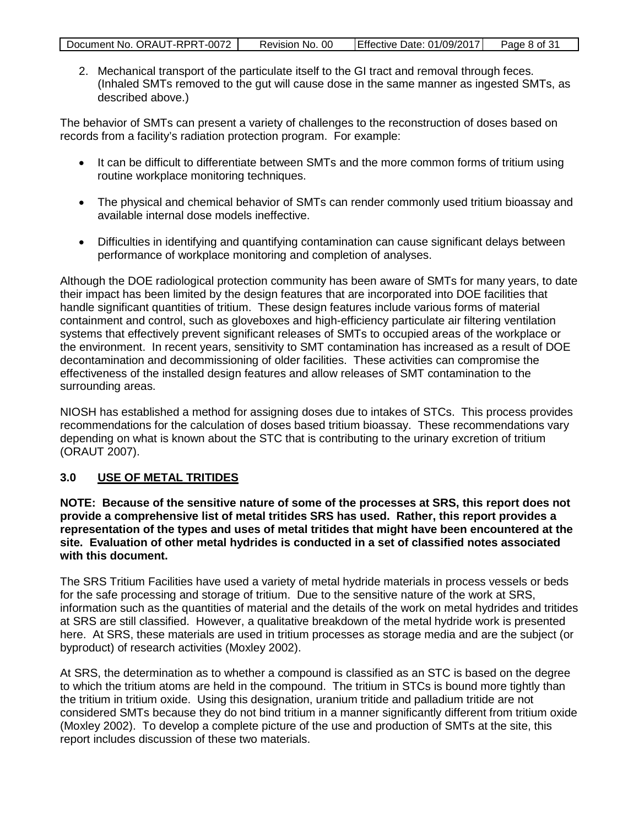| Document No. ORAUT-RPRT-0072 | Revision No. 00 | Effective Date: 01/09/2017 | Page 8 of 31 |
|------------------------------|-----------------|----------------------------|--------------|

2. Mechanical transport of the particulate itself to the GI tract and removal through feces. (Inhaled SMTs removed to the gut will cause dose in the same manner as ingested SMTs, as described above.)

The behavior of SMTs can present a variety of challenges to the reconstruction of doses based on records from a facility's radiation protection program. For example:

- It can be difficult to differentiate between SMTs and the more common forms of tritium using routine workplace monitoring techniques.
- The physical and chemical behavior of SMTs can render commonly used tritium bioassay and available internal dose models ineffective.
- Difficulties in identifying and quantifying contamination can cause significant delays between performance of workplace monitoring and completion of analyses.

Although the DOE radiological protection community has been aware of SMTs for many years, to date their impact has been limited by the design features that are incorporated into DOE facilities that handle significant quantities of tritium. These design features include various forms of material containment and control, such as gloveboxes and high-efficiency particulate air filtering ventilation systems that effectively prevent significant releases of SMTs to occupied areas of the workplace or the environment. In recent years, sensitivity to SMT contamination has increased as a result of DOE decontamination and decommissioning of older facilities. These activities can compromise the effectiveness of the installed design features and allow releases of SMT contamination to the surrounding areas.

NIOSH has established a method for assigning doses due to intakes of STCs. This process provides recommendations for the calculation of doses based tritium bioassay. These recommendations vary depending on what is known about the STC that is contributing to the urinary excretion of tritium (ORAUT 2007).

### <span id="page-7-0"></span>**3.0 USE OF METAL TRITIDES**

**NOTE: Because of the sensitive nature of some of the processes at SRS, this report does not provide a comprehensive list of metal tritides SRS has used. Rather, this report provides a representation of the types and uses of metal tritides that might have been encountered at the site. Evaluation of other metal hydrides is conducted in a set of classified notes associated with this document.**

The SRS Tritium Facilities have used a variety of metal hydride materials in process vessels or beds for the safe processing and storage of tritium. Due to the sensitive nature of the work at SRS, information such as the quantities of material and the details of the work on metal hydrides and tritides at SRS are still classified. However, a qualitative breakdown of the metal hydride work is presented here. At SRS, these materials are used in tritium processes as storage media and are the subject (or byproduct) of research activities (Moxley 2002).

At SRS, the determination as to whether a compound is classified as an STC is based on the degree to which the tritium atoms are held in the compound. The tritium in STCs is bound more tightly than the tritium in tritium oxide. Using this designation, uranium tritide and palladium tritide are not considered SMTs because they do not bind tritium in a manner significantly different from tritium oxide (Moxley 2002). To develop a complete picture of the use and production of SMTs at the site, this report includes discussion of these two materials.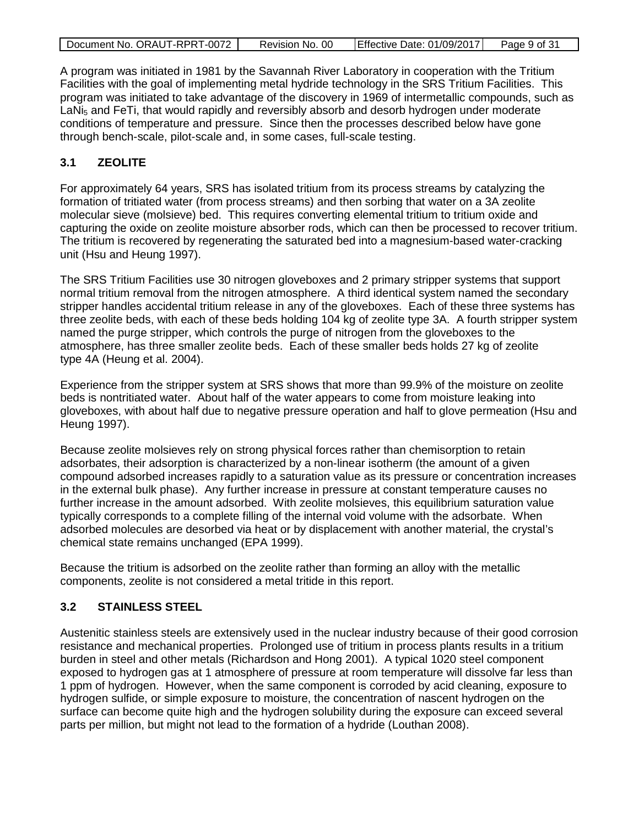| Document No. ORAUT-RPRT-0072 | Revision No. 00 | Effective Date: 01/09/2017 | Page 9 of 31 |
|------------------------------|-----------------|----------------------------|--------------|
|                              |                 |                            |              |

A program was initiated in 1981 by the Savannah River Laboratory in cooperation with the Tritium Facilities with the goal of implementing metal hydride technology in the SRS Tritium Facilities. This program was initiated to take advantage of the discovery in 1969 of intermetallic compounds, such as LaNi<sub>5</sub> and FeTi, that would rapidly and reversibly absorb and desorb hydrogen under moderate conditions of temperature and pressure. Since then the processes described below have gone through bench-scale, pilot-scale and, in some cases, full-scale testing.

# <span id="page-8-0"></span>**3.1 ZEOLITE**

For approximately 64 years, SRS has isolated tritium from its process streams by catalyzing the formation of tritiated water (from process streams) and then sorbing that water on a 3A zeolite molecular sieve (molsieve) bed. This requires converting elemental tritium to tritium oxide and capturing the oxide on zeolite moisture absorber rods, which can then be processed to recover tritium. The tritium is recovered by regenerating the saturated bed into a magnesium-based water-cracking unit (Hsu and Heung 1997).

The SRS Tritium Facilities use 30 nitrogen gloveboxes and 2 primary stripper systems that support normal tritium removal from the nitrogen atmosphere. A third identical system named the secondary stripper handles accidental tritium release in any of the gloveboxes. Each of these three systems has three zeolite beds, with each of these beds holding 104 kg of zeolite type 3A. A fourth stripper system named the purge stripper, which controls the purge of nitrogen from the gloveboxes to the atmosphere, has three smaller zeolite beds. Each of these smaller beds holds 27 kg of zeolite type 4A (Heung et al. 2004).

Experience from the stripper system at SRS shows that more than 99.9% of the moisture on zeolite beds is nontritiated water. About half of the water appears to come from moisture leaking into gloveboxes, with about half due to negative pressure operation and half to glove permeation (Hsu and Heung 1997).

Because zeolite molsieves rely on strong physical forces rather than chemisorption to retain adsorbates, their adsorption is characterized by a non-linear isotherm (the amount of a given compound adsorbed increases rapidly to a saturation value as its pressure or concentration increases in the external bulk phase). Any further increase in pressure at constant temperature causes no further increase in the amount adsorbed. With zeolite molsieves, this equilibrium saturation value typically corresponds to a complete filling of the internal void volume with the adsorbate. When adsorbed molecules are desorbed via heat or by displacement with another material, the crystal's chemical state remains unchanged (EPA 1999).

Because the tritium is adsorbed on the zeolite rather than forming an alloy with the metallic components, zeolite is not considered a metal tritide in this report.

### <span id="page-8-1"></span>**3.2 STAINLESS STEEL**

Austenitic stainless steels are extensively used in the nuclear industry because of their good corrosion resistance and mechanical properties. Prolonged use of tritium in process plants results in a tritium burden in steel and other metals (Richardson and Hong 2001). A typical 1020 steel component exposed to hydrogen gas at 1 atmosphere of pressure at room temperature will dissolve far less than 1 ppm of hydrogen. However, when the same component is corroded by acid cleaning, exposure to hydrogen sulfide, or simple exposure to moisture, the concentration of nascent hydrogen on the surface can become quite high and the hydrogen solubility during the exposure can exceed several parts per million, but might not lead to the formation of a hydride (Louthan 2008).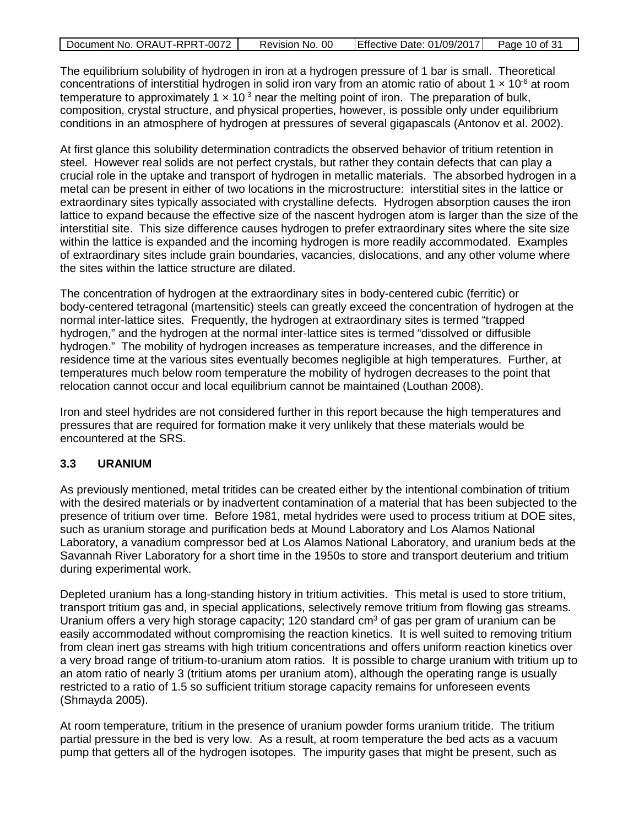| Document No. ORAUT-RPRT-0072 | Revision No. 00 | Effective Date: 01/09/2017   Page 10 of 31 |  |
|------------------------------|-----------------|--------------------------------------------|--|

The equilibrium solubility of hydrogen in iron at a hydrogen pressure of 1 bar is small. Theoretical concentrations of interstitial hydrogen in solid iron vary from an atomic ratio of about 1  $\times$  10<sup>-6</sup> at room temperature to approximately 1  $\times$  10<sup>-3</sup> near the melting point of iron. The preparation of bulk, composition, crystal structure, and physical properties, however, is possible only under equilibrium conditions in an atmosphere of hydrogen at pressures of several gigapascals (Antonov et al. 2002).

At first glance this solubility determination contradicts the observed behavior of tritium retention in steel. However real solids are not perfect crystals, but rather they contain defects that can play a crucial role in the uptake and transport of hydrogen in metallic materials. The absorbed hydrogen in a metal can be present in either of two locations in the microstructure: interstitial sites in the lattice or extraordinary sites typically associated with crystalline defects. Hydrogen absorption causes the iron lattice to expand because the effective size of the nascent hydrogen atom is larger than the size of the interstitial site. This size difference causes hydrogen to prefer extraordinary sites where the site size within the lattice is expanded and the incoming hydrogen is more readily accommodated. Examples of extraordinary sites include grain boundaries, vacancies, dislocations, and any other volume where the sites within the lattice structure are dilated.

The concentration of hydrogen at the extraordinary sites in body-centered cubic (ferritic) or body-centered tetragonal (martensitic) steels can greatly exceed the concentration of hydrogen at the normal inter-lattice sites. Frequently, the hydrogen at extraordinary sites is termed "trapped hydrogen," and the hydrogen at the normal inter-lattice sites is termed "dissolved or diffusible hydrogen." The mobility of hydrogen increases as temperature increases, and the difference in residence time at the various sites eventually becomes negligible at high temperatures. Further, at temperatures much below room temperature the mobility of hydrogen decreases to the point that relocation cannot occur and local equilibrium cannot be maintained (Louthan 2008).

Iron and steel hydrides are not considered further in this report because the high temperatures and pressures that are required for formation make it very unlikely that these materials would be encountered at the SRS.

### <span id="page-9-0"></span>**3.3 URANIUM**

As previously mentioned, metal tritides can be created either by the intentional combination of tritium with the desired materials or by inadvertent contamination of a material that has been subjected to the presence of tritium over time. Before 1981, metal hydrides were used to process tritium at DOE sites, such as uranium storage and purification beds at Mound Laboratory and Los Alamos National Laboratory, a vanadium compressor bed at Los Alamos National Laboratory, and uranium beds at the Savannah River Laboratory for a short time in the 1950s to store and transport deuterium and tritium during experimental work.

Depleted uranium has a long-standing history in tritium activities. This metal is used to store tritium, transport tritium gas and, in special applications, selectively remove tritium from flowing gas streams. Uranium offers a very high storage capacity; 120 standard  $cm<sup>3</sup>$  of gas per gram of uranium can be easily accommodated without compromising the reaction kinetics. It is well suited to removing tritium from clean inert gas streams with high tritium concentrations and offers uniform reaction kinetics over a very broad range of tritium-to-uranium atom ratios. It is possible to charge uranium with tritium up to an atom ratio of nearly 3 (tritium atoms per uranium atom), although the operating range is usually restricted to a ratio of 1.5 so sufficient tritium storage capacity remains for unforeseen events (Shmayda 2005).

At room temperature, tritium in the presence of uranium powder forms uranium tritide. The tritium partial pressure in the bed is very low. As a result, at room temperature the bed acts as a vacuum pump that getters all of the hydrogen isotopes. The impurity gases that might be present, such as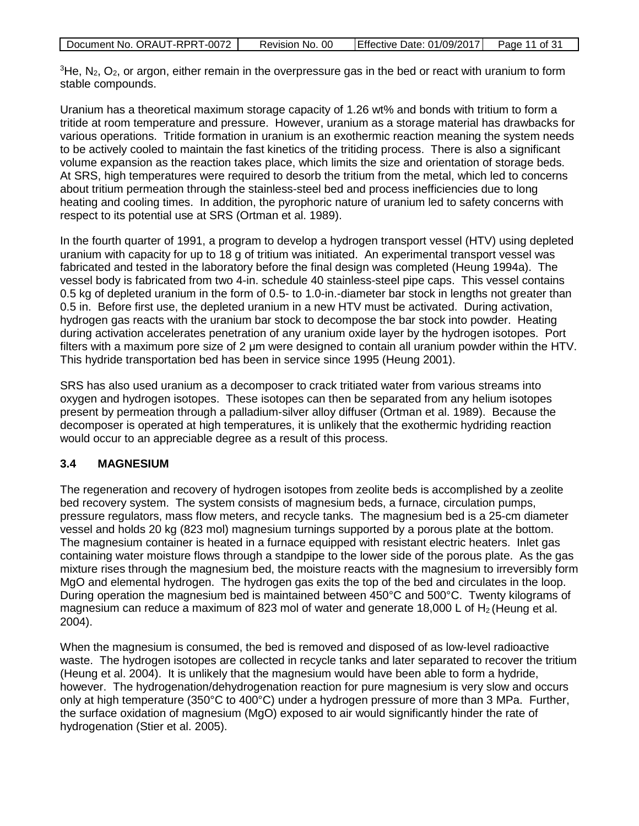| Document No. ORAUT-RPRT-0072 | Revision No. 00 | Effective Date: 01/09/2017 | Page 11 of 31 |
|------------------------------|-----------------|----------------------------|---------------|
|                              |                 |                            |               |

 ${}^{3}$ He, N<sub>2</sub>, O<sub>2</sub>, or argon, either remain in the overpressure gas in the bed or react with uranium to form stable compounds.

Uranium has a theoretical maximum storage capacity of 1.26 wt% and bonds with tritium to form a tritide at room temperature and pressure. However, uranium as a storage material has drawbacks for various operations. Tritide formation in uranium is an exothermic reaction meaning the system needs to be actively cooled to maintain the fast kinetics of the tritiding process. There is also a significant volume expansion as the reaction takes place, which limits the size and orientation of storage beds. At SRS, high temperatures were required to desorb the tritium from the metal, which led to concerns about tritium permeation through the stainless-steel bed and process inefficiencies due to long heating and cooling times. In addition, the pyrophoric nature of uranium led to safety concerns with respect to its potential use at SRS (Ortman et al. 1989).

In the fourth quarter of 1991, a program to develop a hydrogen transport vessel (HTV) using depleted uranium with capacity for up to 18 g of tritium was initiated. An experimental transport vessel was fabricated and tested in the laboratory before the final design was completed (Heung 1994a). The vessel body is fabricated from two 4-in. schedule 40 stainless-steel pipe caps. This vessel contains 0.5 kg of depleted uranium in the form of 0.5- to 1.0-in.-diameter bar stock in lengths not greater than 0.5 in. Before first use, the depleted uranium in a new HTV must be activated. During activation, hydrogen gas reacts with the uranium bar stock to decompose the bar stock into powder. Heating during activation accelerates penetration of any uranium oxide layer by the hydrogen isotopes. Port filters with a maximum pore size of 2 μm were designed to contain all uranium powder within the HTV. This hydride transportation bed has been in service since 1995 (Heung 2001).

SRS has also used uranium as a decomposer to crack tritiated water from various streams into oxygen and hydrogen isotopes. These isotopes can then be separated from any helium isotopes present by permeation through a palladium-silver alloy diffuser (Ortman et al. 1989). Because the decomposer is operated at high temperatures, it is unlikely that the exothermic hydriding reaction would occur to an appreciable degree as a result of this process.

### <span id="page-10-0"></span>**3.4 MAGNESIUM**

The regeneration and recovery of hydrogen isotopes from zeolite beds is accomplished by a zeolite bed recovery system. The system consists of magnesium beds, a furnace, circulation pumps, pressure regulators, mass flow meters, and recycle tanks. The magnesium bed is a 25-cm diameter vessel and holds 20 kg (823 mol) magnesium turnings supported by a porous plate at the bottom. The magnesium container is heated in a furnace equipped with resistant electric heaters. Inlet gas containing water moisture flows through a standpipe to the lower side of the porous plate. As the gas mixture rises through the magnesium bed, the moisture reacts with the magnesium to irreversibly form MgO and elemental hydrogen. The hydrogen gas exits the top of the bed and circulates in the loop. During operation the magnesium bed is maintained between 450°C and 500°C. Twenty kilograms of magnesium can reduce a maximum of 823 mol of water and generate 18,000 L of  $H_2$  (Heung et al. 2004).

When the magnesium is consumed, the bed is removed and disposed of as low-level radioactive waste. The hydrogen isotopes are collected in recycle tanks and later separated to recover the tritium (Heung et al. 2004). It is unlikely that the magnesium would have been able to form a hydride, however. The hydrogenation/dehydrogenation reaction for pure magnesium is very slow and occurs only at high temperature (350°C to 400°C) under a hydrogen pressure of more than 3 MPa. Further, the surface oxidation of magnesium (MgO) exposed to air would significantly hinder the rate of hydrogenation (Stier et al. 2005).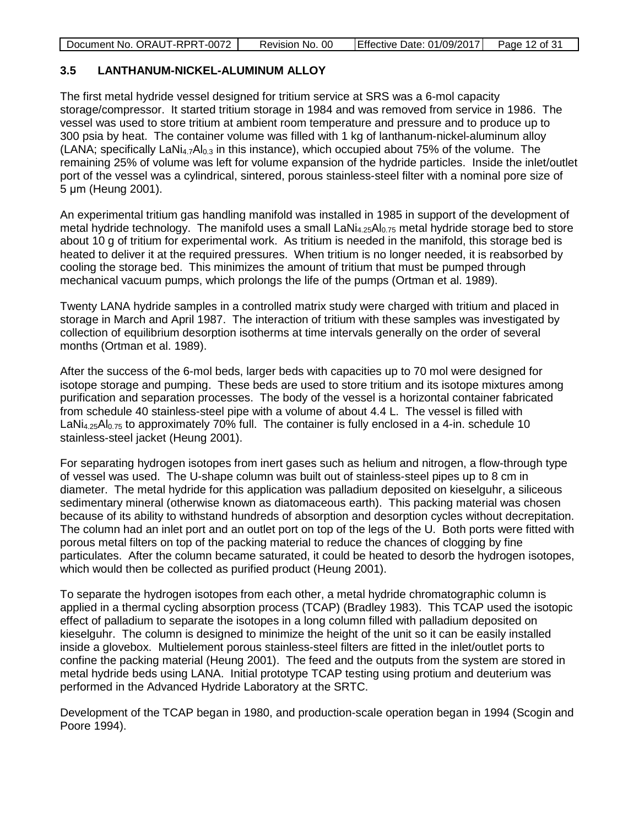| Document No. ORAUT-RPRT-0072<br>Effective Date: 01/09/2017<br>Page 12 of 31<br>Revision No. 00 |
|------------------------------------------------------------------------------------------------|
|------------------------------------------------------------------------------------------------|

### <span id="page-11-0"></span>**3.5 LANTHANUM-NICKEL-ALUMINUM ALLOY**

The first metal hydride vessel designed for tritium service at SRS was a 6-mol capacity storage/compressor. It started tritium storage in 1984 and was removed from service in 1986. The vessel was used to store tritium at ambient room temperature and pressure and to produce up to 300 psia by heat. The container volume was filled with 1 kg of lanthanum-nickel-aluminum alloy (LANA; specifically LaNi<sub>4.7</sub>Al<sub>0.3</sub> in this instance), which occupied about 75% of the volume. The remaining 25% of volume was left for volume expansion of the hydride particles. Inside the inlet/outlet port of the vessel was a cylindrical, sintered, porous stainless-steel filter with a nominal pore size of 5 μm (Heung 2001).

An experimental tritium gas handling manifold was installed in 1985 in support of the development of metal hydride technology. The manifold uses a small  $LaNi<sub>4.25</sub>Al<sub>0.75</sub>$  metal hydride storage bed to store about 10 g of tritium for experimental work. As tritium is needed in the manifold, this storage bed is heated to deliver it at the required pressures. When tritium is no longer needed, it is reabsorbed by cooling the storage bed. This minimizes the amount of tritium that must be pumped through mechanical vacuum pumps, which prolongs the life of the pumps (Ortman et al. 1989).

Twenty LANA hydride samples in a controlled matrix study were charged with tritium and placed in storage in March and April 1987. The interaction of tritium with these samples was investigated by collection of equilibrium desorption isotherms at time intervals generally on the order of several months (Ortman et al. 1989).

After the success of the 6-mol beds, larger beds with capacities up to 70 mol were designed for isotope storage and pumping. These beds are used to store tritium and its isotope mixtures among purification and separation processes. The body of the vessel is a horizontal container fabricated from schedule 40 stainless-steel pipe with a volume of about 4.4 L. The vessel is filled with LaNi<sub>4.25</sub>Al<sub>0.75</sub> to approximately 70% full. The container is fully enclosed in a 4-in. schedule 10 stainless-steel jacket (Heung 2001).

For separating hydrogen isotopes from inert gases such as helium and nitrogen, a flow-through type of vessel was used. The U-shape column was built out of stainless-steel pipes up to 8 cm in diameter. The metal hydride for this application was palladium deposited on kieselguhr, a siliceous sedimentary mineral (otherwise known as diatomaceous earth). This packing material was chosen because of its ability to withstand hundreds of absorption and desorption cycles without decrepitation. The column had an inlet port and an outlet port on top of the legs of the U. Both ports were fitted with porous metal filters on top of the packing material to reduce the chances of clogging by fine particulates. After the column became saturated, it could be heated to desorb the hydrogen isotopes, which would then be collected as purified product (Heung 2001).

To separate the hydrogen isotopes from each other, a metal hydride chromatographic column is applied in a thermal cycling absorption process (TCAP) (Bradley 1983). This TCAP used the isotopic effect of palladium to separate the isotopes in a long column filled with palladium deposited on kieselguhr. The column is designed to minimize the height of the unit so it can be easily installed inside a glovebox. Multielement porous stainless-steel filters are fitted in the inlet/outlet ports to confine the packing material (Heung 2001). The feed and the outputs from the system are stored in metal hydride beds using LANA. Initial prototype TCAP testing using protium and deuterium was performed in the Advanced Hydride Laboratory at the SRTC.

Development of the TCAP began in 1980, and production-scale operation began in 1994 (Scogin and Poore 1994).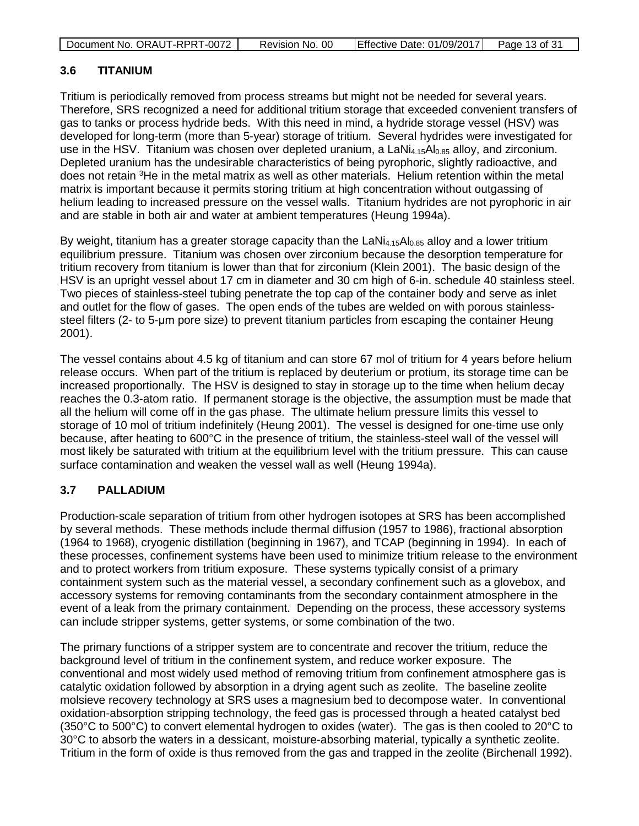| Document No. ORAUT-RPRT-0072 | Revision No. 00 | Effective Date: $01/09/2017$ Page 13 of 31 |  |
|------------------------------|-----------------|--------------------------------------------|--|

### <span id="page-12-0"></span>**3.6 TITANIUM**

Tritium is periodically removed from process streams but might not be needed for several years. Therefore, SRS recognized a need for additional tritium storage that exceeded convenient transfers of gas to tanks or process hydride beds. With this need in mind, a hydride storage vessel (HSV) was developed for long-term (more than 5-year) storage of tritium. Several hydrides were investigated for use in the HSV. Titanium was chosen over depleted uranium, a LaNi<sub>4.15</sub>Al<sub>0.85</sub> alloy, and zirconium. Depleted uranium has the undesirable characteristics of being pyrophoric, slightly radioactive, and does not retain <sup>3</sup>He in the metal matrix as well as other materials. Helium retention within the metal matrix is important because it permits storing tritium at high concentration without outgassing of helium leading to increased pressure on the vessel walls. Titanium hydrides are not pyrophoric in air and are stable in both air and water at ambient temperatures (Heung 1994a).

By weight, titanium has a greater storage capacity than the  $LaNi<sub>4.15</sub>Al<sub>0.85</sub>$  alloy and a lower tritium equilibrium pressure. Titanium was chosen over zirconium because the desorption temperature for tritium recovery from titanium is lower than that for zirconium (Klein 2001). The basic design of the HSV is an upright vessel about 17 cm in diameter and 30 cm high of 6-in. schedule 40 stainless steel. Two pieces of stainless-steel tubing penetrate the top cap of the container body and serve as inlet and outlet for the flow of gases. The open ends of the tubes are welded on with porous stainlesssteel filters (2- to 5-μm pore size) to prevent titanium particles from escaping the container Heung 2001).

The vessel contains about 4.5 kg of titanium and can store 67 mol of tritium for 4 years before helium release occurs. When part of the tritium is replaced by deuterium or protium, its storage time can be increased proportionally. The HSV is designed to stay in storage up to the time when helium decay reaches the 0.3-atom ratio. If permanent storage is the objective, the assumption must be made that all the helium will come off in the gas phase. The ultimate helium pressure limits this vessel to storage of 10 mol of tritium indefinitely (Heung 2001). The vessel is designed for one-time use only because, after heating to 600°C in the presence of tritium, the stainless-steel wall of the vessel will most likely be saturated with tritium at the equilibrium level with the tritium pressure. This can cause surface contamination and weaken the vessel wall as well (Heung 1994a).

### <span id="page-12-1"></span>**3.7 PALLADIUM**

Production-scale separation of tritium from other hydrogen isotopes at SRS has been accomplished by several methods. These methods include thermal diffusion (1957 to 1986), fractional absorption (1964 to 1968), cryogenic distillation (beginning in 1967), and TCAP (beginning in 1994). In each of these processes, confinement systems have been used to minimize tritium release to the environment and to protect workers from tritium exposure. These systems typically consist of a primary containment system such as the material vessel, a secondary confinement such as a glovebox, and accessory systems for removing contaminants from the secondary containment atmosphere in the event of a leak from the primary containment. Depending on the process, these accessory systems can include stripper systems, getter systems, or some combination of the two.

The primary functions of a stripper system are to concentrate and recover the tritium, reduce the background level of tritium in the confinement system, and reduce worker exposure. The conventional and most widely used method of removing tritium from confinement atmosphere gas is catalytic oxidation followed by absorption in a drying agent such as zeolite. The baseline zeolite molsieve recovery technology at SRS uses a magnesium bed to decompose water. In conventional oxidation-absorption stripping technology, the feed gas is processed through a heated catalyst bed (350°C to 500°C) to convert elemental hydrogen to oxides (water). The gas is then cooled to 20°C to 30°C to absorb the waters in a dessicant, moisture-absorbing material, typically a synthetic zeolite. Tritium in the form of oxide is thus removed from the gas and trapped in the zeolite (Birchenall 1992).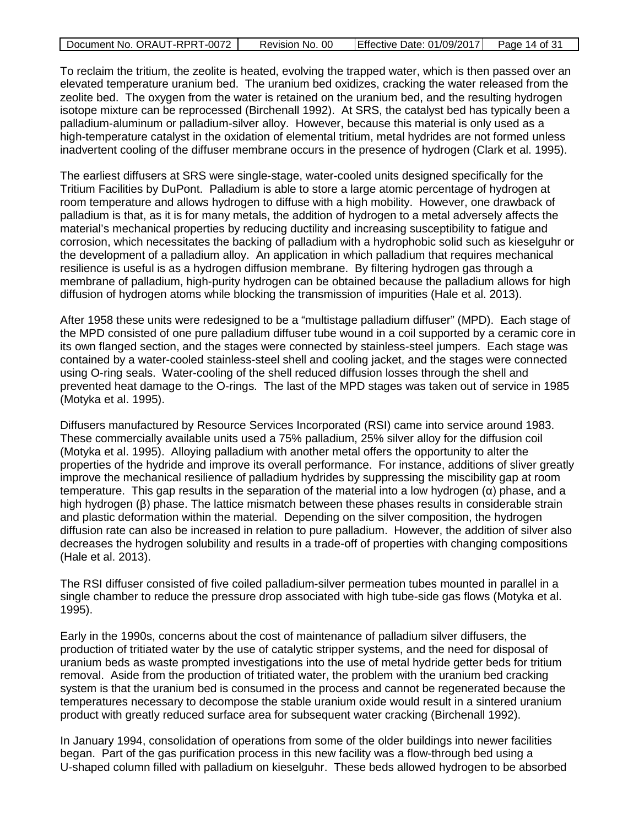| Document No. ORAUT-RPRT-0072 | Revision No. 00 | Effective Date: 01/09/2017 Page 14 of 31 |  |
|------------------------------|-----------------|------------------------------------------|--|
|------------------------------|-----------------|------------------------------------------|--|

To reclaim the tritium, the zeolite is heated, evolving the trapped water, which is then passed over an elevated temperature uranium bed. The uranium bed oxidizes, cracking the water released from the zeolite bed. The oxygen from the water is retained on the uranium bed, and the resulting hydrogen isotope mixture can be reprocessed (Birchenall 1992). At SRS, the catalyst bed has typically been a palladium-aluminum or palladium-silver alloy. However, because this material is only used as a high-temperature catalyst in the oxidation of elemental tritium, metal hydrides are not formed unless inadvertent cooling of the diffuser membrane occurs in the presence of hydrogen (Clark et al. 1995).

The earliest diffusers at SRS were single-stage, water-cooled units designed specifically for the Tritium Facilities by DuPont. Palladium is able to store a large atomic percentage of hydrogen at room temperature and allows hydrogen to diffuse with a high mobility. However, one drawback of palladium is that, as it is for many metals, the addition of hydrogen to a metal adversely affects the material's mechanical properties by reducing ductility and increasing susceptibility to fatigue and corrosion, which necessitates the backing of palladium with a hydrophobic solid such as kieselguhr or the development of a palladium alloy. An application in which palladium that requires mechanical resilience is useful is as a hydrogen diffusion membrane. By filtering hydrogen gas through a membrane of palladium, high-purity hydrogen can be obtained because the palladium allows for high diffusion of hydrogen atoms while blocking the transmission of impurities (Hale et al. 2013).

After 1958 these units were redesigned to be a "multistage palladium diffuser" (MPD). Each stage of the MPD consisted of one pure palladium diffuser tube wound in a coil supported by a ceramic core in its own flanged section, and the stages were connected by stainless-steel jumpers. Each stage was contained by a water-cooled stainless-steel shell and cooling jacket, and the stages were connected using O-ring seals. Water-cooling of the shell reduced diffusion losses through the shell and prevented heat damage to the O-rings. The last of the MPD stages was taken out of service in 1985 (Motyka et al. 1995).

Diffusers manufactured by Resource Services Incorporated (RSI) came into service around 1983. These commercially available units used a 75% palladium, 25% silver alloy for the diffusion coil (Motyka et al. 1995). Alloying palladium with another metal offers the opportunity to alter the properties of the hydride and improve its overall performance. For instance, additions of sliver greatly improve the mechanical resilience of palladium hydrides by suppressing the miscibility gap at room temperature. This gap results in the separation of the material into a low hydrogen (α) phase, and a high hydrogen (β) phase. The lattice mismatch between these phases results in considerable strain and plastic deformation within the material. Depending on the silver composition, the hydrogen diffusion rate can also be increased in relation to pure palladium. However, the addition of silver also decreases the hydrogen solubility and results in a trade-off of properties with changing compositions (Hale et al. 2013).

The RSI diffuser consisted of five coiled palladium-silver permeation tubes mounted in parallel in a single chamber to reduce the pressure drop associated with high tube-side gas flows (Motyka et al. 1995).

Early in the 1990s, concerns about the cost of maintenance of palladium silver diffusers, the production of tritiated water by the use of catalytic stripper systems, and the need for disposal of uranium beds as waste prompted investigations into the use of metal hydride getter beds for tritium removal. Aside from the production of tritiated water, the problem with the uranium bed cracking system is that the uranium bed is consumed in the process and cannot be regenerated because the temperatures necessary to decompose the stable uranium oxide would result in a sintered uranium product with greatly reduced surface area for subsequent water cracking (Birchenall 1992).

In January 1994, consolidation of operations from some of the older buildings into newer facilities began. Part of the gas purification process in this new facility was a flow-through bed using a U-shaped column filled with palladium on kieselguhr. These beds allowed hydrogen to be absorbed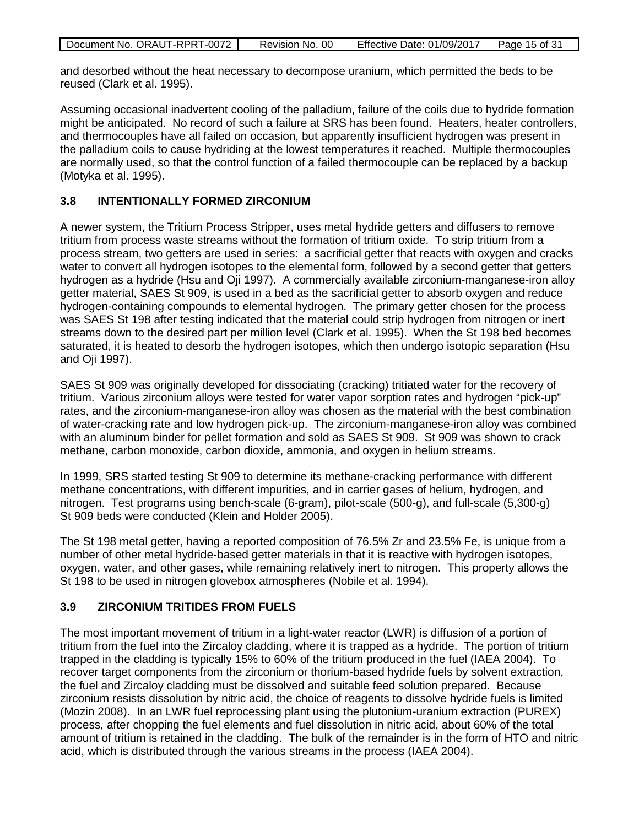| Document No. ORAUT-RPRT-0072 | Revision No. 00 | Effective Date: 01/09/2017 Page 15 of 31 |  |
|------------------------------|-----------------|------------------------------------------|--|

and desorbed without the heat necessary to decompose uranium, which permitted the beds to be reused (Clark et al. 1995).

Assuming occasional inadvertent cooling of the palladium, failure of the coils due to hydride formation might be anticipated. No record of such a failure at SRS has been found. Heaters, heater controllers, and thermocouples have all failed on occasion, but apparently insufficient hydrogen was present in the palladium coils to cause hydriding at the lowest temperatures it reached. Multiple thermocouples are normally used, so that the control function of a failed thermocouple can be replaced by a backup (Motyka et al. 1995).

### <span id="page-14-0"></span>**3.8 INTENTIONALLY FORMED ZIRCONIUM**

A newer system, the Tritium Process Stripper, uses metal hydride getters and diffusers to remove tritium from process waste streams without the formation of tritium oxide. To strip tritium from a process stream, two getters are used in series: a sacrificial getter that reacts with oxygen and cracks water to convert all hydrogen isotopes to the elemental form, followed by a second getter that getters hydrogen as a hydride (Hsu and Oji 1997). A commercially available zirconium-manganese-iron alloy getter material, SAES St 909, is used in a bed as the sacrificial getter to absorb oxygen and reduce hydrogen-containing compounds to elemental hydrogen. The primary getter chosen for the process was SAES St 198 after testing indicated that the material could strip hydrogen from nitrogen or inert streams down to the desired part per million level (Clark et al. 1995). When the St 198 bed becomes saturated, it is heated to desorb the hydrogen isotopes, which then undergo isotopic separation (Hsu and Oji 1997).

SAES St 909 was originally developed for dissociating (cracking) tritiated water for the recovery of tritium. Various zirconium alloys were tested for water vapor sorption rates and hydrogen "pick-up" rates, and the zirconium-manganese-iron alloy was chosen as the material with the best combination of water-cracking rate and low hydrogen pick-up. The zirconium-manganese-iron alloy was combined with an aluminum binder for pellet formation and sold as SAES St 909. St 909 was shown to crack methane, carbon monoxide, carbon dioxide, ammonia, and oxygen in helium streams.

In 1999, SRS started testing St 909 to determine its methane-cracking performance with different methane concentrations, with different impurities, and in carrier gases of helium, hydrogen, and nitrogen. Test programs using bench-scale (6-gram), pilot-scale (500-g), and full-scale (5,300-g) St 909 beds were conducted (Klein and Holder 2005).

The St 198 metal getter, having a reported composition of 76.5% Zr and 23.5% Fe, is unique from a number of other metal hydride-based getter materials in that it is reactive with hydrogen isotopes, oxygen, water, and other gases, while remaining relatively inert to nitrogen. This property allows the St 198 to be used in nitrogen glovebox atmospheres (Nobile et al. 1994).

#### <span id="page-14-1"></span>**3.9 ZIRCONIUM TRITIDES FROM FUELS**

The most important movement of tritium in a light-water reactor (LWR) is diffusion of a portion of tritium from the fuel into the Zircaloy cladding, where it is trapped as a hydride. The portion of tritium trapped in the cladding is typically 15% to 60% of the tritium produced in the fuel (IAEA 2004). To recover target components from the zirconium or thorium-based hydride fuels by solvent extraction, the fuel and Zircaloy cladding must be dissolved and suitable feed solution prepared. Because zirconium resists dissolution by nitric acid, the choice of reagents to dissolve hydride fuels is limited (Mozin 2008). In an LWR fuel reprocessing plant using the plutonium-uranium extraction (PUREX) process, after chopping the fuel elements and fuel dissolution in nitric acid, about 60% of the total amount of tritium is retained in the cladding. The bulk of the remainder is in the form of HTO and nitric acid, which is distributed through the various streams in the process (IAEA 2004).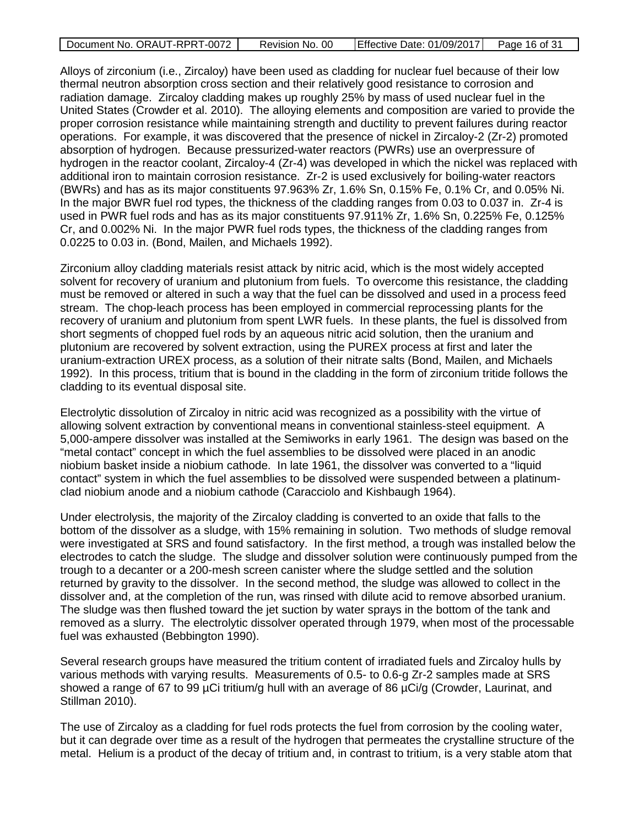|  | Document No. ORAUT-RPRT-0072 | Revision No. 00 | Effective Date: 01/09/2017 | Page 16 of 31 |
|--|------------------------------|-----------------|----------------------------|---------------|
|--|------------------------------|-----------------|----------------------------|---------------|

Alloys of zirconium (i.e., Zircaloy) have been used as cladding for nuclear fuel because of their low thermal neutron absorption cross section and their relatively good resistance to corrosion and radiation damage. Zircaloy cladding makes up roughly 25% by mass of used nuclear fuel in the United States (Crowder et al. 2010). The alloying elements and composition are varied to provide the proper corrosion resistance while maintaining strength and ductility to prevent failures during reactor operations. For example, it was discovered that the presence of nickel in Zircaloy-2 (Zr-2) promoted absorption of hydrogen. Because pressurized-water reactors (PWRs) use an overpressure of hydrogen in the reactor coolant, Zircaloy-4 (Zr-4) was developed in which the nickel was replaced with additional iron to maintain corrosion resistance. Zr-2 is used exclusively for boiling-water reactors (BWRs) and has as its major constituents 97.963% Zr, 1.6% Sn, 0.15% Fe, 0.1% Cr, and 0.05% Ni. In the major BWR fuel rod types, the thickness of the cladding ranges from 0.03 to 0.037 in. Zr-4 is used in PWR fuel rods and has as its major constituents 97.911% Zr, 1.6% Sn, 0.225% Fe, 0.125% Cr, and 0.002% Ni. In the major PWR fuel rods types, the thickness of the cladding ranges from 0.0225 to 0.03 in. (Bond, Mailen, and Michaels 1992).

Zirconium alloy cladding materials resist attack by nitric acid, which is the most widely accepted solvent for recovery of uranium and plutonium from fuels. To overcome this resistance, the cladding must be removed or altered in such a way that the fuel can be dissolved and used in a process feed stream. The chop-leach process has been employed in commercial reprocessing plants for the recovery of uranium and plutonium from spent LWR fuels. In these plants, the fuel is dissolved from short segments of chopped fuel rods by an aqueous nitric acid solution, then the uranium and plutonium are recovered by solvent extraction, using the PUREX process at first and later the uranium-extraction UREX process, as a solution of their nitrate salts (Bond, Mailen, and Michaels 1992). In this process, tritium that is bound in the cladding in the form of zirconium tritide follows the cladding to its eventual disposal site.

Electrolytic dissolution of Zircaloy in nitric acid was recognized as a possibility with the virtue of allowing solvent extraction by conventional means in conventional stainless-steel equipment. A 5,000-ampere dissolver was installed at the Semiworks in early 1961. The design was based on the "metal contact" concept in which the fuel assemblies to be dissolved were placed in an anodic niobium basket inside a niobium cathode. In late 1961, the dissolver was converted to a "liquid contact" system in which the fuel assemblies to be dissolved were suspended between a platinumclad niobium anode and a niobium cathode (Caracciolo and Kishbaugh 1964).

Under electrolysis, the majority of the Zircaloy cladding is converted to an oxide that falls to the bottom of the dissolver as a sludge, with 15% remaining in solution. Two methods of sludge removal were investigated at SRS and found satisfactory. In the first method, a trough was installed below the electrodes to catch the sludge. The sludge and dissolver solution were continuously pumped from the trough to a decanter or a 200-mesh screen canister where the sludge settled and the solution returned by gravity to the dissolver. In the second method, the sludge was allowed to collect in the dissolver and, at the completion of the run, was rinsed with dilute acid to remove absorbed uranium. The sludge was then flushed toward the jet suction by water sprays in the bottom of the tank and removed as a slurry. The electrolytic dissolver operated through 1979, when most of the processable fuel was exhausted (Bebbington 1990).

Several research groups have measured the tritium content of irradiated fuels and Zircaloy hulls by various methods with varying results. Measurements of 0.5- to 0.6-g Zr-2 samples made at SRS showed a range of 67 to 99 µCi tritium/g hull with an average of 86 µCi/g (Crowder, Laurinat, and Stillman 2010).

The use of Zircaloy as a cladding for fuel rods protects the fuel from corrosion by the cooling water, but it can degrade over time as a result of the hydrogen that permeates the crystalline structure of the metal. Helium is a product of the decay of tritium and, in contrast to tritium, is a very stable atom that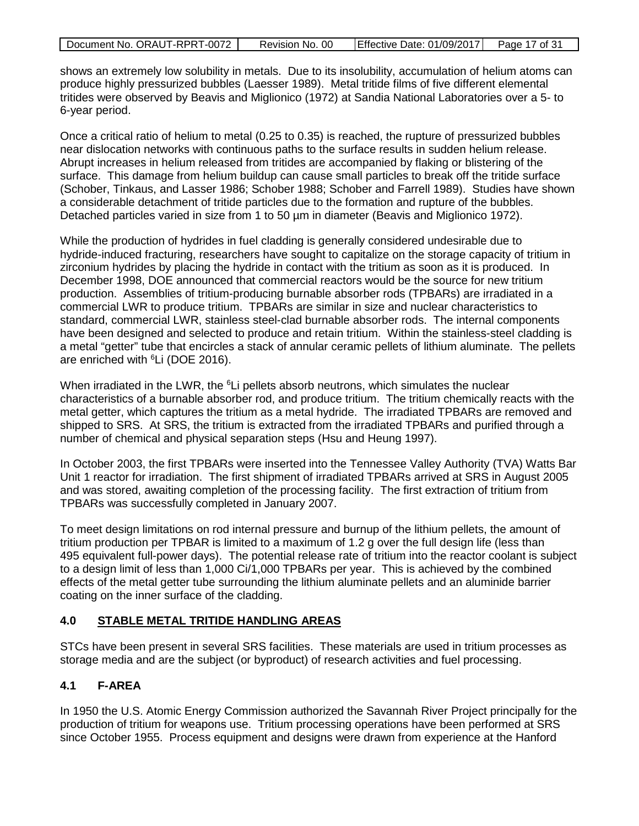| Document No. ORAUT-RPRT-0072 | Revision No. 00 | Effective Date: 01/09/2017 | Page 17 of 31 |
|------------------------------|-----------------|----------------------------|---------------|

shows an extremely low solubility in metals. Due to its insolubility, accumulation of helium atoms can produce highly pressurized bubbles (Laesser 1989). Metal tritide films of five different elemental tritides were observed by Beavis and Miglionico (1972) at Sandia National Laboratories over a 5- to 6-year period.

Once a critical ratio of helium to metal (0.25 to 0.35) is reached, the rupture of pressurized bubbles near dislocation networks with continuous paths to the surface results in sudden helium release. Abrupt increases in helium released from tritides are accompanied by flaking or blistering of the surface. This damage from helium buildup can cause small particles to break off the tritide surface (Schober, Tinkaus, and Lasser 1986; Schober 1988; Schober and Farrell 1989). Studies have shown a considerable detachment of tritide particles due to the formation and rupture of the bubbles. Detached particles varied in size from 1 to 50 µm in diameter (Beavis and Miglionico 1972).

While the production of hydrides in fuel cladding is generally considered undesirable due to hydride-induced fracturing, researchers have sought to capitalize on the storage capacity of tritium in zirconium hydrides by placing the hydride in contact with the tritium as soon as it is produced. In December 1998, DOE announced that commercial reactors would be the source for new tritium production. Assemblies of tritium-producing burnable absorber rods (TPBARs) are irradiated in a commercial LWR to produce tritium. TPBARs are similar in size and nuclear characteristics to standard, commercial LWR, stainless steel-clad burnable absorber rods. The internal components have been designed and selected to produce and retain tritium. Within the stainless-steel cladding is a metal "getter" tube that encircles a stack of annular ceramic pellets of lithium aluminate. The pellets are enriched with <sup>6</sup>Li (DOE 2016).

When irradiated in the LWR, the <sup>6</sup>Li pellets absorb neutrons, which simulates the nuclear characteristics of a burnable absorber rod, and produce tritium. The tritium chemically reacts with the metal getter, which captures the tritium as a metal hydride. The irradiated TPBARs are removed and shipped to SRS. At SRS, the tritium is extracted from the irradiated TPBARs and purified through a number of chemical and physical separation steps (Hsu and Heung 1997).

In October 2003, the first TPBARs were inserted into the Tennessee Valley Authority (TVA) Watts Bar Unit 1 reactor for irradiation. The first shipment of irradiated TPBARs arrived at SRS in August 2005 and was stored, awaiting completion of the processing facility. The first extraction of tritium from TPBARs was successfully completed in January 2007.

To meet design limitations on rod internal pressure and burnup of the lithium pellets, the amount of tritium production per TPBAR is limited to a maximum of 1.2 g over the full design life (less than 495 equivalent full-power days). The potential release rate of tritium into the reactor coolant is subject to a design limit of less than 1,000 Ci/1,000 TPBARs per year. This is achieved by the combined effects of the metal getter tube surrounding the lithium aluminate pellets and an aluminide barrier coating on the inner surface of the cladding.

### <span id="page-16-0"></span>**4.0 STABLE METAL TRITIDE HANDLING AREAS**

STCs have been present in several SRS facilities. These materials are used in tritium processes as storage media and are the subject (or byproduct) of research activities and fuel processing.

# <span id="page-16-1"></span>**4.1 F-AREA**

In 1950 the U.S. Atomic Energy Commission authorized the Savannah River Project principally for the production of tritium for weapons use. Tritium processing operations have been performed at SRS since October 1955. Process equipment and designs were drawn from experience at the Hanford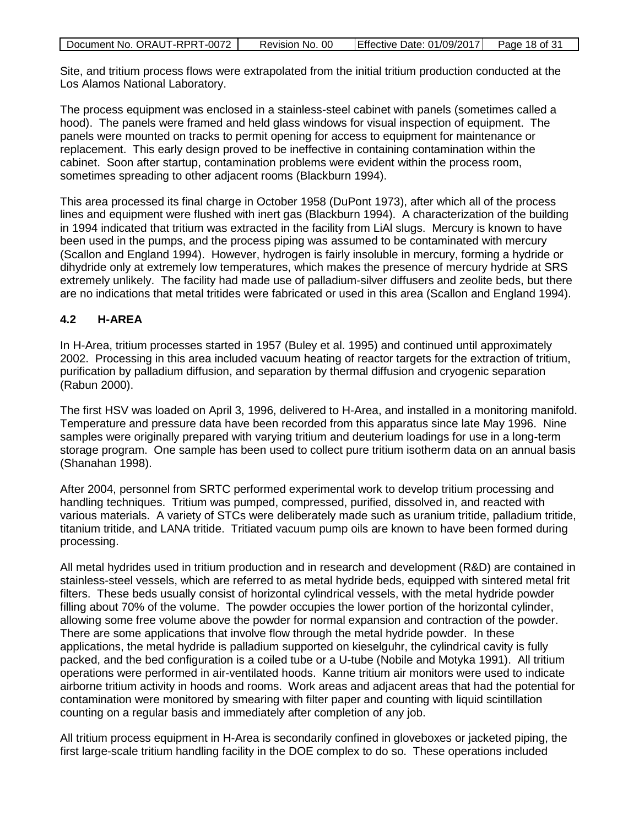| Document No. ORAUT-RPRT-0072 | Revision No. 00 | Effective Date: 01/09/2017 | Page 18 of 31 |
|------------------------------|-----------------|----------------------------|---------------|

Site, and tritium process flows were extrapolated from the initial tritium production conducted at the Los Alamos National Laboratory.

The process equipment was enclosed in a stainless-steel cabinet with panels (sometimes called a hood). The panels were framed and held glass windows for visual inspection of equipment. The panels were mounted on tracks to permit opening for access to equipment for maintenance or replacement. This early design proved to be ineffective in containing contamination within the cabinet. Soon after startup, contamination problems were evident within the process room, sometimes spreading to other adjacent rooms (Blackburn 1994).

This area processed its final charge in October 1958 (DuPont 1973), after which all of the process lines and equipment were flushed with inert gas (Blackburn 1994). A characterization of the building in 1994 indicated that tritium was extracted in the facility from LiAl slugs. Mercury is known to have been used in the pumps, and the process piping was assumed to be contaminated with mercury (Scallon and England 1994). However, hydrogen is fairly insoluble in mercury, forming a hydride or dihydride only at extremely low temperatures, which makes the presence of mercury hydride at SRS extremely unlikely. The facility had made use of palladium-silver diffusers and zeolite beds, but there are no indications that metal tritides were fabricated or used in this area (Scallon and England 1994).

# <span id="page-17-0"></span>**4.2 H-AREA**

In H-Area, tritium processes started in 1957 (Buley et al. 1995) and continued until approximately 2002. Processing in this area included vacuum heating of reactor targets for the extraction of tritium, purification by palladium diffusion, and separation by thermal diffusion and cryogenic separation (Rabun 2000).

The first HSV was loaded on April 3, 1996, delivered to H-Area, and installed in a monitoring manifold. Temperature and pressure data have been recorded from this apparatus since late May 1996. Nine samples were originally prepared with varying tritium and deuterium loadings for use in a long-term storage program. One sample has been used to collect pure tritium isotherm data on an annual basis (Shanahan 1998).

After 2004, personnel from SRTC performed experimental work to develop tritium processing and handling techniques. Tritium was pumped, compressed, purified, dissolved in, and reacted with various materials. A variety of STCs were deliberately made such as uranium tritide, palladium tritide, titanium tritide, and LANA tritide. Tritiated vacuum pump oils are known to have been formed during processing.

All metal hydrides used in tritium production and in research and development (R&D) are contained in stainless-steel vessels, which are referred to as metal hydride beds, equipped with sintered metal frit filters. These beds usually consist of horizontal cylindrical vessels, with the metal hydride powder filling about 70% of the volume. The powder occupies the lower portion of the horizontal cylinder, allowing some free volume above the powder for normal expansion and contraction of the powder. There are some applications that involve flow through the metal hydride powder. In these applications, the metal hydride is palladium supported on kieselguhr, the cylindrical cavity is fully packed, and the bed configuration is a coiled tube or a U-tube (Nobile and Motyka 1991). All tritium operations were performed in air-ventilated hoods. Kanne tritium air monitors were used to indicate airborne tritium activity in hoods and rooms. Work areas and adjacent areas that had the potential for contamination were monitored by smearing with filter paper and counting with liquid scintillation counting on a regular basis and immediately after completion of any job.

All tritium process equipment in H-Area is secondarily confined in gloveboxes or jacketed piping, the first large-scale tritium handling facility in the DOE complex to do so. These operations included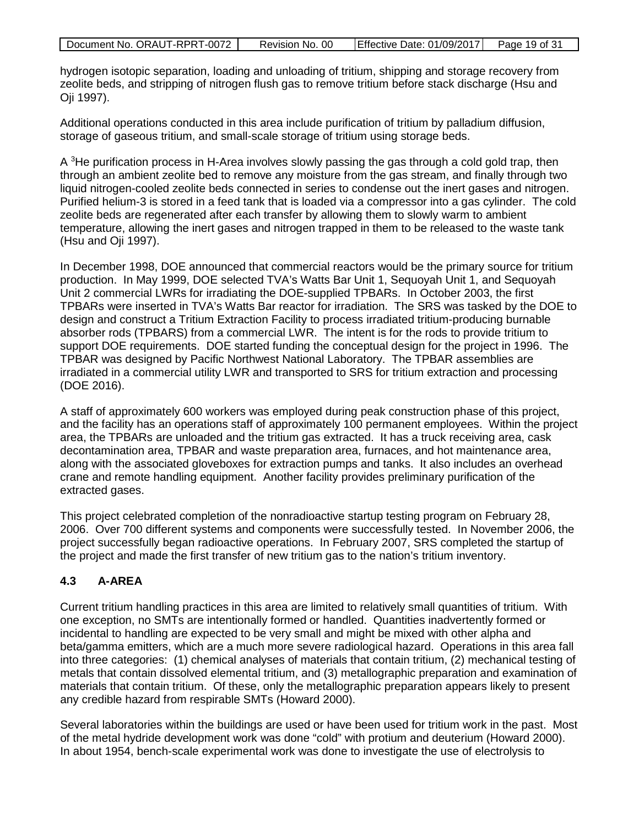| Document No. ORAUT-RPRT-0072 | Revision No. 00 | Effective Date: 01/09/2017 | Page 19 of 31 |
|------------------------------|-----------------|----------------------------|---------------|

hydrogen isotopic separation, loading and unloading of tritium, shipping and storage recovery from zeolite beds, and stripping of nitrogen flush gas to remove tritium before stack discharge (Hsu and Oji 1997).

Additional operations conducted in this area include purification of tritium by palladium diffusion, storage of gaseous tritium, and small-scale storage of tritium using storage beds.

A <sup>3</sup>He purification process in H-Area involves slowly passing the gas through a cold gold trap, then through an ambient zeolite bed to remove any moisture from the gas stream, and finally through two liquid nitrogen-cooled zeolite beds connected in series to condense out the inert gases and nitrogen. Purified helium-3 is stored in a feed tank that is loaded via a compressor into a gas cylinder. The cold zeolite beds are regenerated after each transfer by allowing them to slowly warm to ambient temperature, allowing the inert gases and nitrogen trapped in them to be released to the waste tank (Hsu and Oji 1997).

In December 1998, DOE announced that commercial reactors would be the primary source for tritium production. In May 1999, DOE selected TVA's Watts Bar Unit 1, Sequoyah Unit 1, and Sequoyah Unit 2 commercial LWRs for irradiating the DOE-supplied TPBARs. In October 2003, the first TPBARs were inserted in TVA's Watts Bar reactor for irradiation. The SRS was tasked by the DOE to design and construct a Tritium Extraction Facility to process irradiated tritium-producing burnable absorber rods (TPBARS) from a commercial LWR. The intent is for the rods to provide tritium to support DOE requirements. DOE started funding the conceptual design for the project in 1996. The TPBAR was designed by Pacific Northwest National Laboratory. The TPBAR assemblies are irradiated in a commercial utility LWR and transported to SRS for tritium extraction and processing (DOE 2016).

A staff of approximately 600 workers was employed during peak construction phase of this project, and the facility has an operations staff of approximately 100 permanent employees. Within the project area, the TPBARs are unloaded and the tritium gas extracted. It has a truck receiving area, cask decontamination area, TPBAR and waste preparation area, furnaces, and hot maintenance area, along with the associated gloveboxes for extraction pumps and tanks. It also includes an overhead crane and remote handling equipment. Another facility provides preliminary purification of the extracted gases.

This project celebrated completion of the nonradioactive startup testing program on February 28, 2006. Over 700 different systems and components were successfully tested. In November 2006, the project successfully began radioactive operations. In February 2007, SRS completed the startup of the project and made the first transfer of new tritium gas to the nation's tritium inventory.

### <span id="page-18-0"></span>**4.3 A-AREA**

Current tritium handling practices in this area are limited to relatively small quantities of tritium. With one exception, no SMTs are intentionally formed or handled. Quantities inadvertently formed or incidental to handling are expected to be very small and might be mixed with other alpha and beta/gamma emitters, which are a much more severe radiological hazard. Operations in this area fall into three categories: (1) chemical analyses of materials that contain tritium, (2) mechanical testing of metals that contain dissolved elemental tritium, and (3) metallographic preparation and examination of materials that contain tritium. Of these, only the metallographic preparation appears likely to present any credible hazard from respirable SMTs (Howard 2000).

Several laboratories within the buildings are used or have been used for tritium work in the past. Most of the metal hydride development work was done "cold" with protium and deuterium (Howard 2000). In about 1954, bench-scale experimental work was done to investigate the use of electrolysis to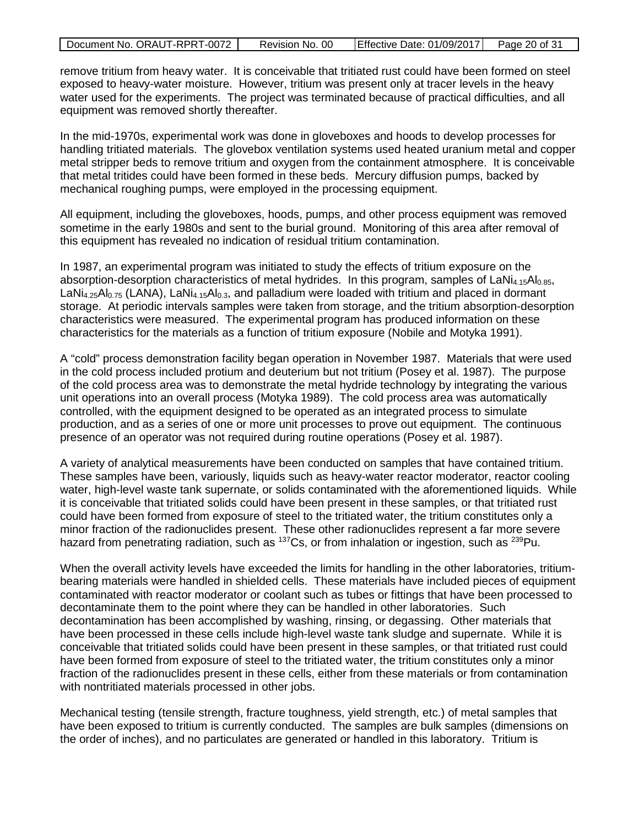| Document No. ORAUT-RPRT-0072 | Revision No. 00 | Effective Date: 01/09/2017 | Page 20 of 31 |
|------------------------------|-----------------|----------------------------|---------------|

remove tritium from heavy water. It is conceivable that tritiated rust could have been formed on steel exposed to heavy-water moisture. However, tritium was present only at tracer levels in the heavy water used for the experiments. The project was terminated because of practical difficulties, and all equipment was removed shortly thereafter.

In the mid-1970s, experimental work was done in gloveboxes and hoods to develop processes for handling tritiated materials. The glovebox ventilation systems used heated uranium metal and copper metal stripper beds to remove tritium and oxygen from the containment atmosphere. It is conceivable that metal tritides could have been formed in these beds. Mercury diffusion pumps, backed by mechanical roughing pumps, were employed in the processing equipment.

All equipment, including the gloveboxes, hoods, pumps, and other process equipment was removed sometime in the early 1980s and sent to the burial ground. Monitoring of this area after removal of this equipment has revealed no indication of residual tritium contamination.

In 1987, an experimental program was initiated to study the effects of tritium exposure on the absorption-desorption characteristics of metal hydrides. In this program, samples of  $LaNi<sub>4.15</sub>Al<sub>0.85</sub>$ ,  $LaNi<sub>4.25</sub>Al<sub>0.75</sub> (LANA), LaNi<sub>4.15</sub>Al<sub>0.3</sub>, and palladium were loaded with tritium and placed in dominant$ storage. At periodic intervals samples were taken from storage, and the tritium absorption-desorption characteristics were measured. The experimental program has produced information on these characteristics for the materials as a function of tritium exposure (Nobile and Motyka 1991).

A "cold" process demonstration facility began operation in November 1987. Materials that were used in the cold process included protium and deuterium but not tritium (Posey et al. 1987). The purpose of the cold process area was to demonstrate the metal hydride technology by integrating the various unit operations into an overall process (Motyka 1989). The cold process area was automatically controlled, with the equipment designed to be operated as an integrated process to simulate production, and as a series of one or more unit processes to prove out equipment. The continuous presence of an operator was not required during routine operations (Posey et al. 1987).

A variety of analytical measurements have been conducted on samples that have contained tritium. These samples have been, variously, liquids such as heavy-water reactor moderator, reactor cooling water, high-level waste tank supernate, or solids contaminated with the aforementioned liquids. While it is conceivable that tritiated solids could have been present in these samples, or that tritiated rust could have been formed from exposure of steel to the tritiated water, the tritium constitutes only a minor fraction of the radionuclides present. These other radionuclides represent a far more severe hazard from penetrating radiation, such as <sup>137</sup>Cs, or from inhalation or ingestion, such as <sup>239</sup>Pu.

When the overall activity levels have exceeded the limits for handling in the other laboratories, tritiumbearing materials were handled in shielded cells. These materials have included pieces of equipment contaminated with reactor moderator or coolant such as tubes or fittings that have been processed to decontaminate them to the point where they can be handled in other laboratories. Such decontamination has been accomplished by washing, rinsing, or degassing. Other materials that have been processed in these cells include high-level waste tank sludge and supernate. While it is conceivable that tritiated solids could have been present in these samples, or that tritiated rust could have been formed from exposure of steel to the tritiated water, the tritium constitutes only a minor fraction of the radionuclides present in these cells, either from these materials or from contamination with nontritiated materials processed in other jobs.

Mechanical testing (tensile strength, fracture toughness, yield strength, etc.) of metal samples that have been exposed to tritium is currently conducted. The samples are bulk samples (dimensions on the order of inches), and no particulates are generated or handled in this laboratory. Tritium is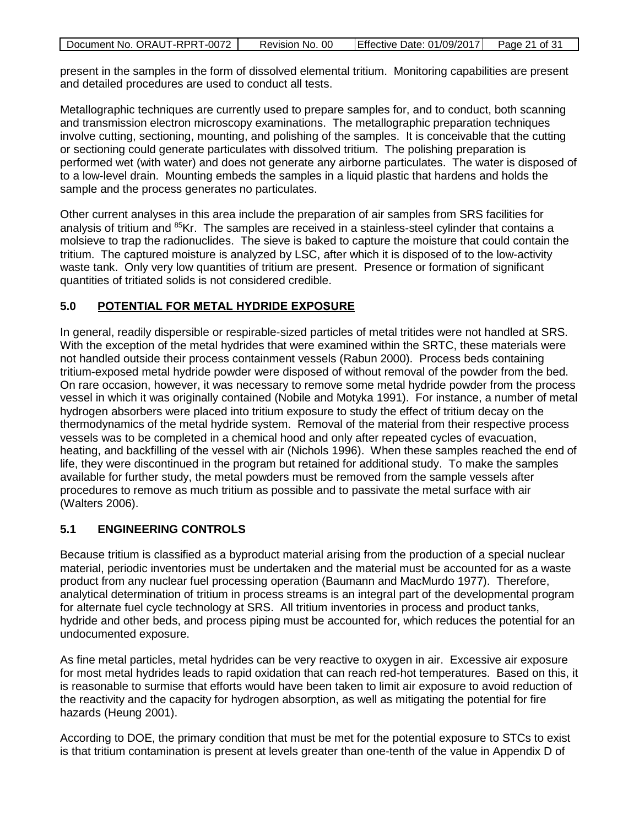| Document No. ORAUT-RPRT-0072 | Revision No. 00 | Effective Date: 01/09/2017 Page 21 of 31 |  |
|------------------------------|-----------------|------------------------------------------|--|

present in the samples in the form of dissolved elemental tritium. Monitoring capabilities are present and detailed procedures are used to conduct all tests.

Metallographic techniques are currently used to prepare samples for, and to conduct, both scanning and transmission electron microscopy examinations. The metallographic preparation techniques involve cutting, sectioning, mounting, and polishing of the samples. It is conceivable that the cutting or sectioning could generate particulates with dissolved tritium. The polishing preparation is performed wet (with water) and does not generate any airborne particulates. The water is disposed of to a low-level drain. Mounting embeds the samples in a liquid plastic that hardens and holds the sample and the process generates no particulates.

Other current analyses in this area include the preparation of air samples from SRS facilities for analysis of tritium and  ${}^{85}$ Kr. The samples are received in a stainless-steel cylinder that contains a molsieve to trap the radionuclides. The sieve is baked to capture the moisture that could contain the tritium. The captured moisture is analyzed by LSC, after which it is disposed of to the low-activity waste tank. Only very low quantities of tritium are present. Presence or formation of significant quantities of tritiated solids is not considered credible.

# <span id="page-20-0"></span>**5.0 POTENTIAL FOR METAL HYDRIDE EXPOSURE**

In general, readily dispersible or respirable-sized particles of metal tritides were not handled at SRS. With the exception of the metal hydrides that were examined within the SRTC, these materials were not handled outside their process containment vessels (Rabun 2000). Process beds containing tritium-exposed metal hydride powder were disposed of without removal of the powder from the bed. On rare occasion, however, it was necessary to remove some metal hydride powder from the process vessel in which it was originally contained (Nobile and Motyka 1991). For instance, a number of metal hydrogen absorbers were placed into tritium exposure to study the effect of tritium decay on the thermodynamics of the metal hydride system. Removal of the material from their respective process vessels was to be completed in a chemical hood and only after repeated cycles of evacuation, heating, and backfilling of the vessel with air (Nichols 1996). When these samples reached the end of life, they were discontinued in the program but retained for additional study. To make the samples available for further study, the metal powders must be removed from the sample vessels after procedures to remove as much tritium as possible and to passivate the metal surface with air (Walters 2006).

### <span id="page-20-1"></span>**5.1 ENGINEERING CONTROLS**

Because tritium is classified as a byproduct material arising from the production of a special nuclear material, periodic inventories must be undertaken and the material must be accounted for as a waste product from any nuclear fuel processing operation (Baumann and MacMurdo 1977). Therefore, analytical determination of tritium in process streams is an integral part of the developmental program for alternate fuel cycle technology at SRS. All tritium inventories in process and product tanks, hydride and other beds, and process piping must be accounted for, which reduces the potential for an undocumented exposure.

As fine metal particles, metal hydrides can be very reactive to oxygen in air. Excessive air exposure for most metal hydrides leads to rapid oxidation that can reach red-hot temperatures. Based on this, it is reasonable to surmise that efforts would have been taken to limit air exposure to avoid reduction of the reactivity and the capacity for hydrogen absorption, as well as mitigating the potential for fire hazards (Heung 2001).

According to DOE, the primary condition that must be met for the potential exposure to STCs to exist is that tritium contamination is present at levels greater than one-tenth of the value in Appendix D of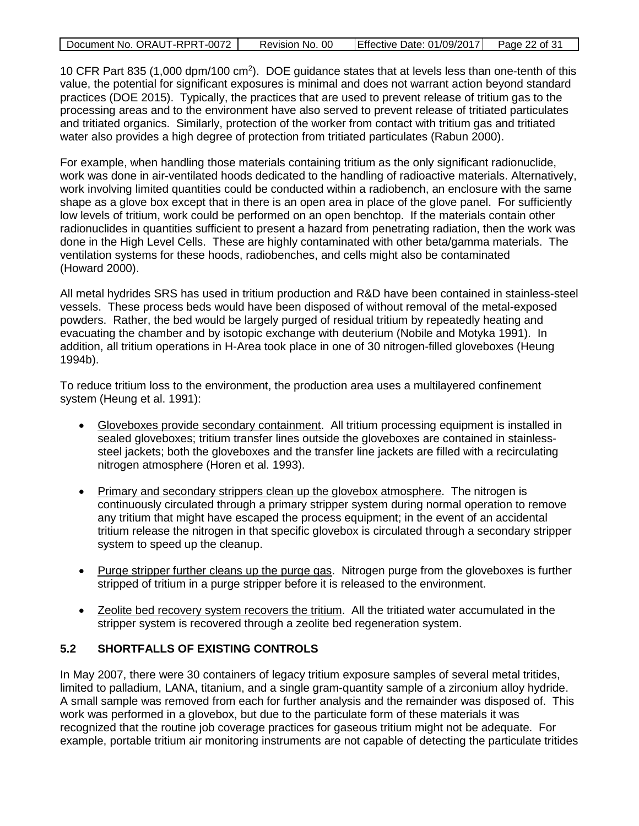| Document No. ORAUT-RPRT-0072 | Revision No. 00 | Effective Date: 01/09/2017 | Page 22 of 31 |
|------------------------------|-----------------|----------------------------|---------------|
|                              |                 |                            |               |

10 CFR Part 835 (1,000 dpm/100 cm<sup>2</sup>). DOE guidance states that at levels less than one-tenth of this value, the potential for significant exposures is minimal and does not warrant action beyond standard practices (DOE 2015). Typically, the practices that are used to prevent release of tritium gas to the processing areas and to the environment have also served to prevent release of tritiated particulates and tritiated organics. Similarly, protection of the worker from contact with tritium gas and tritiated water also provides a high degree of protection from tritiated particulates (Rabun 2000).

For example, when handling those materials containing tritium as the only significant radionuclide, work was done in air-ventilated hoods dedicated to the handling of radioactive materials. Alternatively, work involving limited quantities could be conducted within a radiobench, an enclosure with the same shape as a glove box except that in there is an open area in place of the glove panel. For sufficiently low levels of tritium, work could be performed on an open benchtop. If the materials contain other radionuclides in quantities sufficient to present a hazard from penetrating radiation, then the work was done in the High Level Cells. These are highly contaminated with other beta/gamma materials. The ventilation systems for these hoods, radiobenches, and cells might also be contaminated (Howard 2000).

All metal hydrides SRS has used in tritium production and R&D have been contained in stainless-steel vessels. These process beds would have been disposed of without removal of the metal-exposed powders. Rather, the bed would be largely purged of residual tritium by repeatedly heating and evacuating the chamber and by isotopic exchange with deuterium (Nobile and Motyka 1991). In addition, all tritium operations in H-Area took place in one of 30 nitrogen-filled gloveboxes (Heung 1994b).

To reduce tritium loss to the environment, the production area uses a multilayered confinement system (Heung et al. 1991):

- Gloveboxes provide secondary containment. All tritium processing equipment is installed in sealed gloveboxes; tritium transfer lines outside the gloveboxes are contained in stainlesssteel jackets; both the gloveboxes and the transfer line jackets are filled with a recirculating nitrogen atmosphere (Horen et al. 1993).
- Primary and secondary strippers clean up the glovebox atmosphere. The nitrogen is continuously circulated through a primary stripper system during normal operation to remove any tritium that might have escaped the process equipment; in the event of an accidental tritium release the nitrogen in that specific glovebox is circulated through a secondary stripper system to speed up the cleanup.
- Purge stripper further cleans up the purge gas. Nitrogen purge from the gloveboxes is further stripped of tritium in a purge stripper before it is released to the environment.
- Zeolite bed recovery system recovers the tritium. All the tritiated water accumulated in the stripper system is recovered through a zeolite bed regeneration system.

### <span id="page-21-0"></span>**5.2 SHORTFALLS OF EXISTING CONTROLS**

In May 2007, there were 30 containers of legacy tritium exposure samples of several metal tritides, limited to palladium, LANA, titanium, and a single gram-quantity sample of a zirconium alloy hydride. A small sample was removed from each for further analysis and the remainder was disposed of. This work was performed in a glovebox, but due to the particulate form of these materials it was recognized that the routine job coverage practices for gaseous tritium might not be adequate. For example, portable tritium air monitoring instruments are not capable of detecting the particulate tritides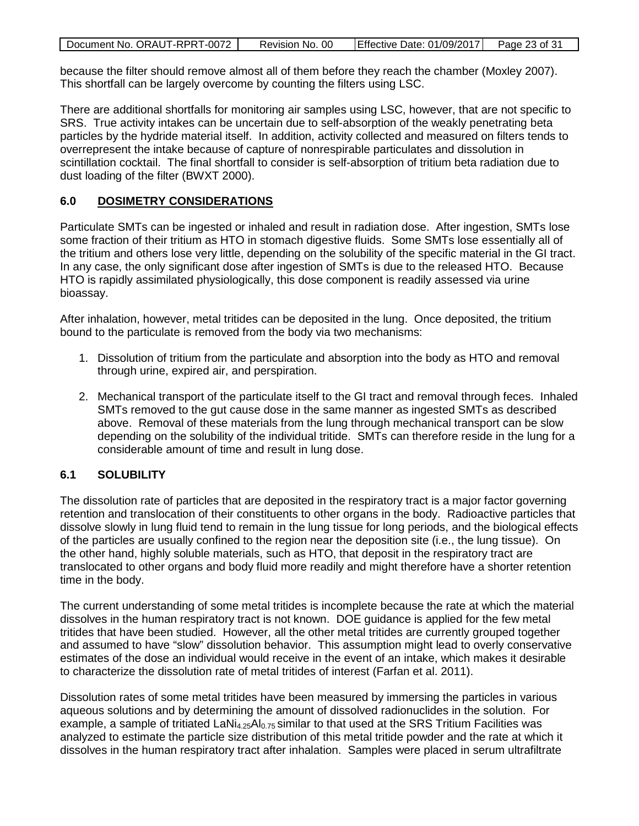| Document No. ORAUT-RPRT-0072 | Revision No. 00 | Effective Date: 01/09/2017 Page 23 of 31 |  |
|------------------------------|-----------------|------------------------------------------|--|

because the filter should remove almost all of them before they reach the chamber (Moxley 2007). This shortfall can be largely overcome by counting the filters using LSC.

There are additional shortfalls for monitoring air samples using LSC, however, that are not specific to SRS. True activity intakes can be uncertain due to self-absorption of the weakly penetrating beta particles by the hydride material itself. In addition, activity collected and measured on filters tends to overrepresent the intake because of capture of nonrespirable particulates and dissolution in scintillation cocktail. The final shortfall to consider is self-absorption of tritium beta radiation due to dust loading of the filter (BWXT 2000).

### <span id="page-22-0"></span>**6.0 DOSIMETRY CONSIDERATIONS**

Particulate SMTs can be ingested or inhaled and result in radiation dose. After ingestion, SMTs lose some fraction of their tritium as HTO in stomach digestive fluids. Some SMTs lose essentially all of the tritium and others lose very little, depending on the solubility of the specific material in the GI tract. In any case, the only significant dose after ingestion of SMTs is due to the released HTO. Because HTO is rapidly assimilated physiologically, this dose component is readily assessed via urine bioassay.

After inhalation, however, metal tritides can be deposited in the lung. Once deposited, the tritium bound to the particulate is removed from the body via two mechanisms:

- 1. Dissolution of tritium from the particulate and absorption into the body as HTO and removal through urine, expired air, and perspiration.
- 2. Mechanical transport of the particulate itself to the GI tract and removal through feces. Inhaled SMTs removed to the gut cause dose in the same manner as ingested SMTs as described above. Removal of these materials from the lung through mechanical transport can be slow depending on the solubility of the individual tritide. SMTs can therefore reside in the lung for a considerable amount of time and result in lung dose.

### <span id="page-22-1"></span>**6.1 SOLUBILITY**

The dissolution rate of particles that are deposited in the respiratory tract is a major factor governing retention and translocation of their constituents to other organs in the body. Radioactive particles that dissolve slowly in lung fluid tend to remain in the lung tissue for long periods, and the biological effects of the particles are usually confined to the region near the deposition site (i.e., the lung tissue). On the other hand, highly soluble materials, such as HTO, that deposit in the respiratory tract are translocated to other organs and body fluid more readily and might therefore have a shorter retention time in the body.

The current understanding of some metal tritides is incomplete because the rate at which the material dissolves in the human respiratory tract is not known. DOE guidance is applied for the few metal tritides that have been studied. However, all the other metal tritides are currently grouped together and assumed to have "slow" dissolution behavior. This assumption might lead to overly conservative estimates of the dose an individual would receive in the event of an intake, which makes it desirable to characterize the dissolution rate of metal tritides of interest (Farfan et al. 2011).

Dissolution rates of some metal tritides have been measured by immersing the particles in various aqueous solutions and by determining the amount of dissolved radionuclides in the solution. For example, a sample of tritiated LaN $i_{4.25}$ Al<sub>0.75</sub> similar to that used at the SRS Tritium Facilities was analyzed to estimate the particle size distribution of this metal tritide powder and the rate at which it dissolves in the human respiratory tract after inhalation. Samples were placed in serum ultrafiltrate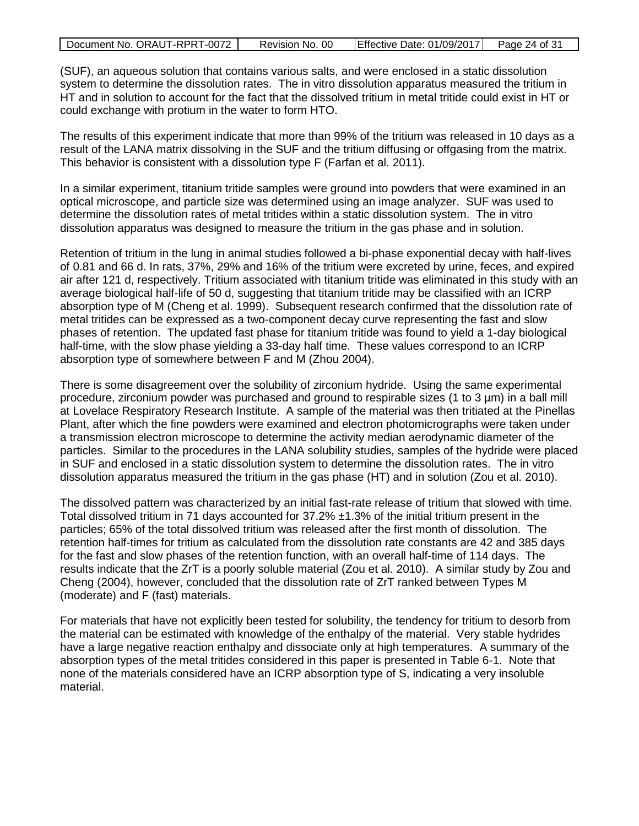| Document No. ORAUT-RPRT-0072 | Revision No. 00 | Effective Date: 01/09/2017 | Page 24 of 31 |
|------------------------------|-----------------|----------------------------|---------------|
|------------------------------|-----------------|----------------------------|---------------|

(SUF), an aqueous solution that contains various salts, and were enclosed in a static dissolution system to determine the dissolution rates. The in vitro dissolution apparatus measured the tritium in HT and in solution to account for the fact that the dissolved tritium in metal tritide could exist in HT or could exchange with protium in the water to form HTO.

The results of this experiment indicate that more than 99% of the tritium was released in 10 days as a result of the LANA matrix dissolving in the SUF and the tritium diffusing or offgasing from the matrix. This behavior is consistent with a dissolution type F (Farfan et al. 2011).

In a similar experiment, titanium tritide samples were ground into powders that were examined in an optical microscope, and particle size was determined using an image analyzer. SUF was used to determine the dissolution rates of metal tritides within a static dissolution system. The in vitro dissolution apparatus was designed to measure the tritium in the gas phase and in solution.

Retention of tritium in the lung in animal studies followed a bi-phase exponential decay with half-lives of 0.81 and 66 d. In rats, 37%, 29% and 16% of the tritium were excreted by urine, feces, and expired air after 121 d, respectively. Tritium associated with titanium tritide was eliminated in this study with an average biological half-life of 50 d, suggesting that titanium tritide may be classified with an ICRP absorption type of M (Cheng et al. 1999). Subsequent research confirmed that the dissolution rate of metal tritides can be expressed as a two-component decay curve representing the fast and slow phases of retention. The updated fast phase for titanium tritide was found to yield a 1-day biological half-time, with the slow phase yielding a 33-day half time. These values correspond to an ICRP absorption type of somewhere between F and M (Zhou 2004).

There is some disagreement over the solubility of zirconium hydride. Using the same experimental procedure, zirconium powder was purchased and ground to respirable sizes (1 to 3 µm) in a ball mill at Lovelace Respiratory Research Institute. A sample of the material was then tritiated at the Pinellas Plant, after which the fine powders were examined and electron photomicrographs were taken under a transmission electron microscope to determine the activity median aerodynamic diameter of the particles. Similar to the procedures in the LANA solubility studies, samples of the hydride were placed in SUF and enclosed in a static dissolution system to determine the dissolution rates. The in vitro dissolution apparatus measured the tritium in the gas phase (HT) and in solution (Zou et al. 2010).

The dissolved pattern was characterized by an initial fast-rate release of tritium that slowed with time. Total dissolved tritium in 71 days accounted for 37.2% ±1.3% of the initial tritium present in the particles; 65% of the total dissolved tritium was released after the first month of dissolution. The retention half-times for tritium as calculated from the dissolution rate constants are 42 and 385 days for the fast and slow phases of the retention function, with an overall half-time of 114 days. The results indicate that the ZrT is a poorly soluble material (Zou et al. 2010). A similar study by Zou and Cheng (2004), however, concluded that the dissolution rate of ZrT ranked between Types M (moderate) and F (fast) materials.

For materials that have not explicitly been tested for solubility, the tendency for tritium to desorb from the material can be estimated with knowledge of the enthalpy of the material. Very stable hydrides have a large negative reaction enthalpy and dissociate only at high temperatures. A summary of the absorption types of the metal tritides considered in this paper is presented in Table 6-1. Note that none of the materials considered have an ICRP absorption type of S, indicating a very insoluble material.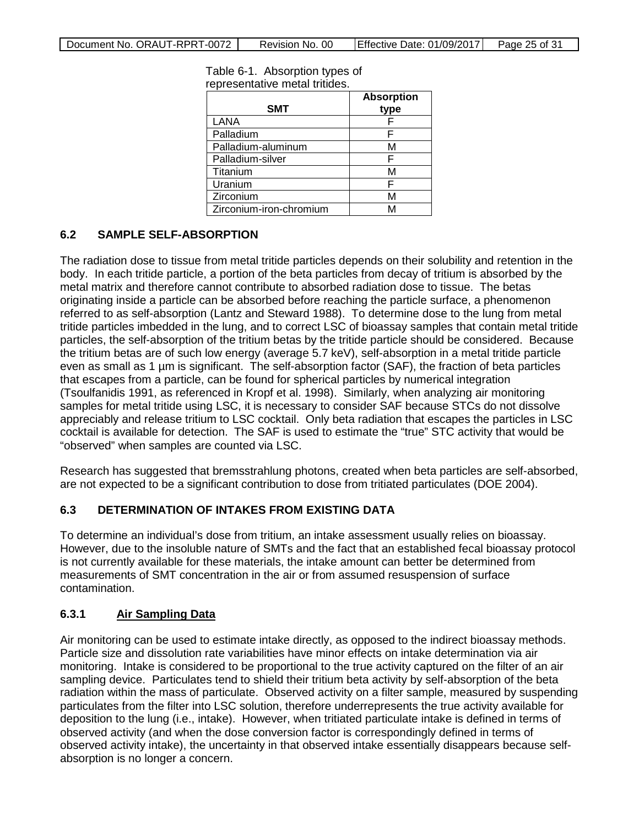| <b>SMT</b>              | <b>Absorption</b> |
|-------------------------|-------------------|
|                         | type              |
| LANA                    |                   |
| Palladium               |                   |
| Palladium-aluminum      | М                 |
| Palladium-silver        |                   |
| Titanium                | м                 |
| Uranium                 |                   |
| Zirconium               | M                 |
| Zirconium-iron-chromium |                   |

<span id="page-24-3"></span>Table 6-1. Absorption types of representative metal tritides.

# <span id="page-24-0"></span>**6.2 SAMPLE SELF-ABSORPTION**

The radiation dose to tissue from metal tritide particles depends on their solubility and retention in the body. In each tritide particle, a portion of the beta particles from decay of tritium is absorbed by the metal matrix and therefore cannot contribute to absorbed radiation dose to tissue. The betas originating inside a particle can be absorbed before reaching the particle surface, a phenomenon referred to as self-absorption (Lantz and Steward 1988). To determine dose to the lung from metal tritide particles imbedded in the lung, and to correct LSC of bioassay samples that contain metal tritide particles, the self-absorption of the tritium betas by the tritide particle should be considered. Because the tritium betas are of such low energy (average 5.7 keV), self-absorption in a metal tritide particle even as small as 1 µm is significant. The self-absorption factor (SAF), the fraction of beta particles that escapes from a particle, can be found for spherical particles by numerical integration (Tsoulfanidis 1991, as referenced in Kropf et al. 1998). Similarly, when analyzing air monitoring samples for metal tritide using LSC, it is necessary to consider SAF because STCs do not dissolve appreciably and release tritium to LSC cocktail. Only beta radiation that escapes the particles in LSC cocktail is available for detection. The SAF is used to estimate the "true" STC activity that would be "observed" when samples are counted via LSC.

Research has suggested that bremsstrahlung photons, created when beta particles are self-absorbed, are not expected to be a significant contribution to dose from tritiated particulates (DOE 2004).

### <span id="page-24-1"></span>**6.3 DETERMINATION OF INTAKES FROM EXISTING DATA**

To determine an individual's dose from tritium, an intake assessment usually relies on bioassay. However, due to the insoluble nature of SMTs and the fact that an established fecal bioassay protocol is not currently available for these materials, the intake amount can better be determined from measurements of SMT concentration in the air or from assumed resuspension of surface contamination.

### <span id="page-24-2"></span>**6.3.1 Air Sampling Data**

Air monitoring can be used to estimate intake directly, as opposed to the indirect bioassay methods. Particle size and dissolution rate variabilities have minor effects on intake determination via air monitoring. Intake is considered to be proportional to the true activity captured on the filter of an air sampling device. Particulates tend to shield their tritium beta activity by self-absorption of the beta radiation within the mass of particulate. Observed activity on a filter sample, measured by suspending particulates from the filter into LSC solution, therefore underrepresents the true activity available for deposition to the lung (i.e., intake). However, when tritiated particulate intake is defined in terms of observed activity (and when the dose conversion factor is correspondingly defined in terms of observed activity intake), the uncertainty in that observed intake essentially disappears because selfabsorption is no longer a concern.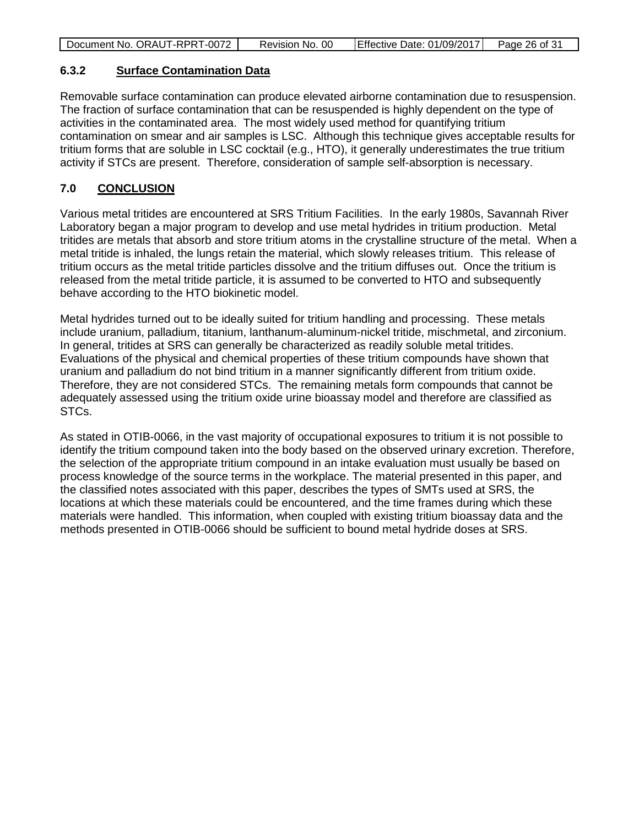| Document No. ORAUT-RPRT-0072 | Revision No. 00 | Effective Date: 01/09/2017 | Page 26 of 31 |
|------------------------------|-----------------|----------------------------|---------------|
|                              |                 |                            |               |

### <span id="page-25-0"></span>**6.3.2 Surface Contamination Data**

Removable surface contamination can produce elevated airborne contamination due to resuspension. The fraction of surface contamination that can be resuspended is highly dependent on the type of activities in the contaminated area. The most widely used method for quantifying tritium contamination on smear and air samples is LSC. Although this technique gives acceptable results for tritium forms that are soluble in LSC cocktail (e.g., HTO), it generally underestimates the true tritium activity if STCs are present. Therefore, consideration of sample self-absorption is necessary.

# <span id="page-25-1"></span>**7.0 CONCLUSION**

Various metal tritides are encountered at SRS Tritium Facilities. In the early 1980s, Savannah River Laboratory began a major program to develop and use metal hydrides in tritium production. Metal tritides are metals that absorb and store tritium atoms in the crystalline structure of the metal. When a metal tritide is inhaled, the lungs retain the material, which slowly releases tritium. This release of tritium occurs as the metal tritide particles dissolve and the tritium diffuses out. Once the tritium is released from the metal tritide particle, it is assumed to be converted to HTO and subsequently behave according to the HTO biokinetic model.

Metal hydrides turned out to be ideally suited for tritium handling and processing. These metals include uranium, palladium, titanium, lanthanum-aluminum-nickel tritide, mischmetal, and zirconium. In general, tritides at SRS can generally be characterized as readily soluble metal tritides. Evaluations of the physical and chemical properties of these tritium compounds have shown that uranium and palladium do not bind tritium in a manner significantly different from tritium oxide. Therefore, they are not considered STCs. The remaining metals form compounds that cannot be adequately assessed using the tritium oxide urine bioassay model and therefore are classified as STCs.

As stated in OTIB-0066, in the vast majority of occupational exposures to tritium it is not possible to identify the tritium compound taken into the body based on the observed urinary excretion. Therefore, the selection of the appropriate tritium compound in an intake evaluation must usually be based on process knowledge of the source terms in the workplace. The material presented in this paper, and the classified notes associated with this paper, describes the types of SMTs used at SRS, the locations at which these materials could be encountered, and the time frames during which these materials were handled. This information, when coupled with existing tritium bioassay data and the methods presented in OTIB-0066 should be sufficient to bound metal hydride doses at SRS.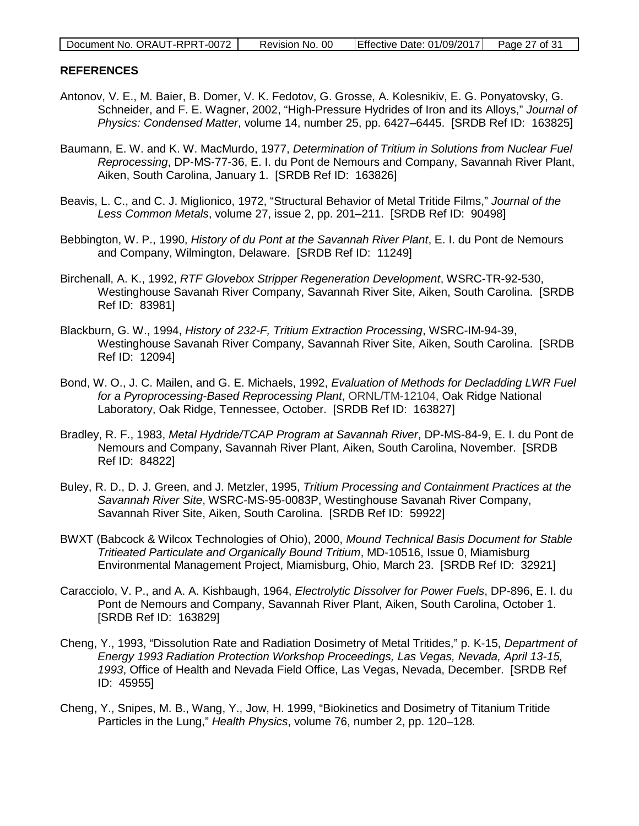#### <span id="page-26-0"></span>**REFERENCES**

- Antonov, V. E., M. Baier, B. Domer, V. K. Fedotov, G. Grosse, A. Kolesnikiv, E. G. Ponyatovsky, G. Schneider, and F. E. Wagner, 2002, "High-Pressure Hydrides of Iron and its Alloys," *Journal of Physics: Condensed Matter*, volume 14, number 25, pp. 6427–6445. [SRDB Ref ID: 163825]
- Baumann, E. W. and K. W. MacMurdo, 1977, *Determination of Tritium in Solutions from Nuclear Fuel Reprocessing*, DP-MS-77-36, E. I. du Pont de Nemours and Company, Savannah River Plant, Aiken, South Carolina, January 1. [SRDB Ref ID: 163826]
- Beavis, L. C., and C. J. Miglionico, 1972, "Structural Behavior of Metal Tritide Films," *Journal of the Less Common Metals*, volume 27, issue 2, pp. 201–211. [SRDB Ref ID: 90498]
- Bebbington, W. P., 1990, *History of du Pont at the Savannah River Plant*, E. I. du Pont de Nemours and Company, Wilmington, Delaware. [SRDB Ref ID: 11249]
- Birchenall, A. K., 1992, *RTF Glovebox Stripper Regeneration Development*, WSRC-TR-92-530, Westinghouse Savanah River Company, Savannah River Site, Aiken, South Carolina. [SRDB Ref ID: 83981]
- Blackburn, G. W., 1994, *History of 232-F, Tritium Extraction Processing*, WSRC-IM-94-39, Westinghouse Savanah River Company, Savannah River Site, Aiken, South Carolina. [SRDB Ref ID: 12094]
- Bond, W. O., J. C. Mailen, and G. E. Michaels, 1992, *Evaluation of Methods for Decladding LWR Fuel for a Pyroprocessing-Based Reprocessing Plant*, ORNL/TM-12104, Oak Ridge National Laboratory, Oak Ridge, Tennessee, October. [SRDB Ref ID: 163827]
- Bradley, R. F., 1983, *Metal Hydride/TCAP Program at Savannah River*, DP-MS-84-9, E. I. du Pont de Nemours and Company, Savannah River Plant, Aiken, South Carolina, November. [SRDB Ref ID: 84822]
- Buley, R. D., D. J. Green, and J. Metzler, 1995, *Tritium Processing and Containment Practices at the Savannah River Site*, WSRC-MS-95-0083P, Westinghouse Savanah River Company, Savannah River Site, Aiken, South Carolina. [SRDB Ref ID: 59922]
- BWXT (Babcock & Wilcox Technologies of Ohio), 2000, *Mound Technical Basis Document for Stable Tritieated Particulate and Organically Bound Tritium*, MD-10516, Issue 0, Miamisburg Environmental Management Project, Miamisburg, Ohio, March 23. [SRDB Ref ID: 32921]
- Caracciolo, V. P., and A. A. Kishbaugh, 1964, *Electrolytic Dissolver for Power Fuels*, DP-896, E. I. du Pont de Nemours and Company, Savannah River Plant, Aiken, South Carolina, October 1. [SRDB Ref ID: 163829]
- Cheng, Y., 1993, "Dissolution Rate and Radiation Dosimetry of Metal Tritides," p. K-15, *Department of Energy 1993 Radiation Protection Workshop Proceedings, Las Vegas, Nevada, April 13-15, 1993*, Office of Health and Nevada Field Office, Las Vegas, Nevada, December. [SRDB Ref ID: 45955]
- Cheng, Y., Snipes, M. B., Wang, Y., Jow, H. 1999, "Biokinetics and Dosimetry of Titanium Tritide Particles in the Lung," *Health Physics*, volume 76, number 2, pp. 120–128.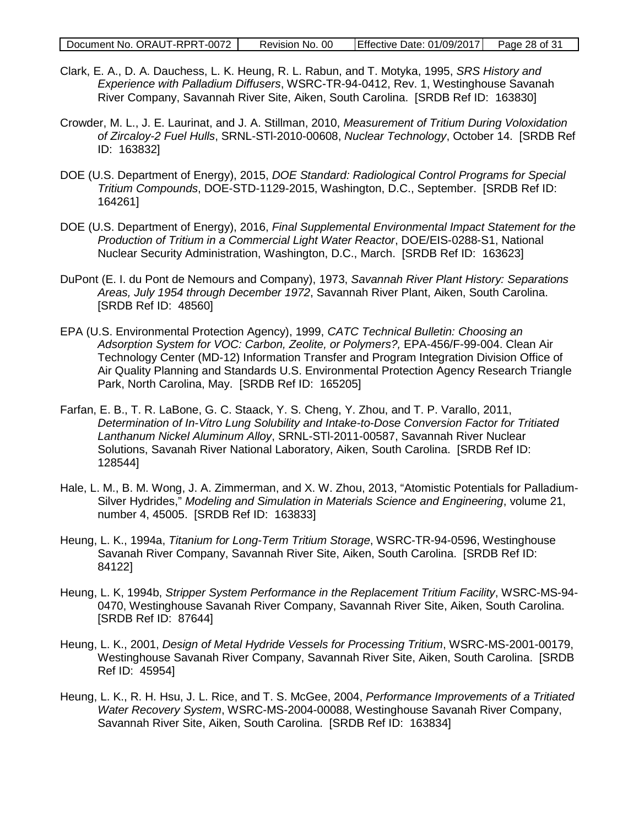- Clark, E. A., D. A. Dauchess, L. K. Heung, R. L. Rabun, and T. Motyka, 1995, *SRS History and Experience with Palladium Diffusers*, WSRC-TR-94-0412, Rev. 1, Westinghouse Savanah River Company, Savannah River Site, Aiken, South Carolina. [SRDB Ref ID: 163830]
- Crowder, M. L., J. E. Laurinat, and J. A. Stillman, 2010, *Measurement of Tritium During Voloxidation of Zircaloy-2 Fuel Hulls*, SRNL-STl-2010-00608, *Nuclear Technology*, October 14. [SRDB Ref ID: 163832]
- DOE (U.S. Department of Energy), 2015, *DOE Standard: Radiological Control Programs for Special Tritium Compounds*, DOE-STD-1129-2015, Washington, D.C., September. [SRDB Ref ID: 164261]
- DOE (U.S. Department of Energy), 2016, *Final Supplemental Environmental Impact Statement for the Production of Tritium in a Commercial Light Water Reactor*, DOE/EIS-0288-S1, National Nuclear Security Administration, Washington, D.C., March. [SRDB Ref ID: 163623]
- DuPont (E. I. du Pont de Nemours and Company), 1973, *Savannah River Plant History: Separations Areas, July 1954 through December 1972*, Savannah River Plant, Aiken, South Carolina. [SRDB Ref ID: 48560]
- EPA (U.S. Environmental Protection Agency), 1999, *CATC Technical Bulletin: Choosing an Adsorption System for VOC: Carbon, Zeolite, or Polymers?,* EPA-456/F-99-004. Clean Air Technology Center (MD-12) Information Transfer and Program Integration Division Office of Air Quality Planning and Standards U.S. Environmental Protection Agency Research Triangle Park, North Carolina, May. [SRDB Ref ID: 165205]
- Farfan, E. B., T. R. LaBone, G. C. Staack, Y. S. Cheng, Y. Zhou, and T. P. Varallo, 2011, *Determination of In-Vitro Lung Solubility and Intake-to-Dose Conversion Factor for Tritiated Lanthanum Nickel Aluminum Alloy*, SRNL-STl-2011-00587, Savannah River Nuclear Solutions, Savanah River National Laboratory, Aiken, South Carolina. [SRDB Ref ID: 128544]
- Hale, L. M., B. M. Wong, J. A. Zimmerman, and X. W. Zhou, 2013, "Atomistic Potentials for Palladium-Silver Hydrides," *Modeling and Simulation in Materials Science and Engineering*, volume 21, number 4, 45005. [SRDB Ref ID: 163833]
- Heung, L. K., 1994a, *Titanium for Long-Term Tritium Storage*, WSRC-TR-94-0596, Westinghouse Savanah River Company, Savannah River Site, Aiken, South Carolina. [SRDB Ref ID: 84122]
- Heung, L. K, 1994b, *Stripper System Performance in the Replacement Tritium Facility*, WSRC-MS-94- 0470, Westinghouse Savanah River Company, Savannah River Site, Aiken, South Carolina. [SRDB Ref ID: 87644]
- Heung, L. K., 2001, *Design of Metal Hydride Vessels for Processing Tritium*, WSRC-MS-2001-00179, Westinghouse Savanah River Company, Savannah River Site, Aiken, South Carolina. [SRDB Ref ID: 45954]
- Heung, L. K., R. H. Hsu, J. L. Rice, and T. S. McGee, 2004, *Performance Improvements of a Tritiated Water Recovery System*, WSRC-MS-2004-00088, Westinghouse Savanah River Company, Savannah River Site, Aiken, South Carolina. [SRDB Ref ID: 163834]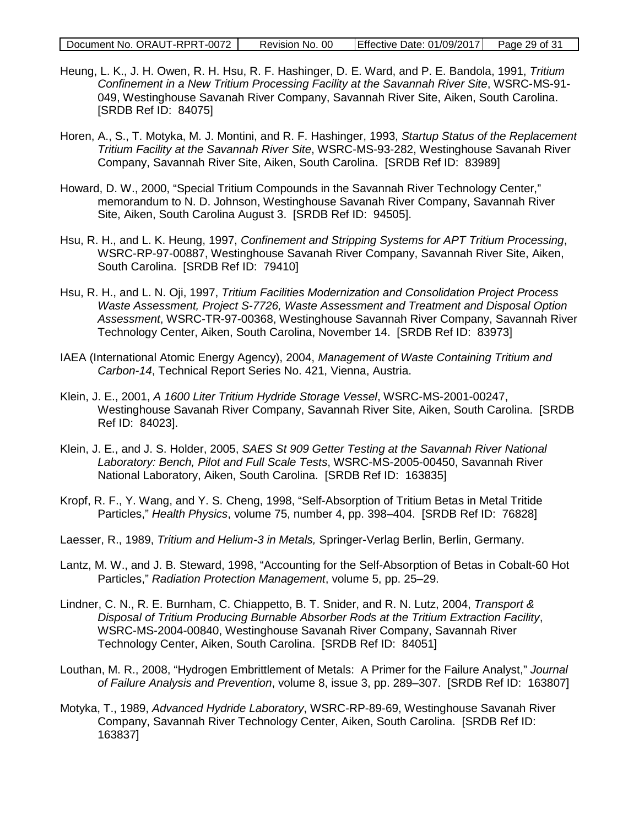- Heung, L. K., J. H. Owen, R. H. Hsu, R. F. Hashinger, D. E. Ward, and P. E. Bandola, 1991, *Tritium Confinement in a New Tritium Processing Facility at the Savannah River Site*, WSRC-MS-91- 049, Westinghouse Savanah River Company, Savannah River Site, Aiken, South Carolina. [SRDB Ref ID: 84075]
- Horen, A., S., T. Motyka, M. J. Montini, and R. F. Hashinger, 1993, *Startup Status of the Replacement Tritium Facility at the Savannah River Site*, WSRC-MS-93-282, Westinghouse Savanah River Company, Savannah River Site, Aiken, South Carolina. [SRDB Ref ID: 83989]
- Howard, D. W., 2000, "Special Tritium Compounds in the Savannah River Technology Center," memorandum to N. D. Johnson, Westinghouse Savanah River Company, Savannah River Site, Aiken, South Carolina August 3. [SRDB Ref ID: 94505].
- Hsu, R. H., and L. K. Heung, 1997, *Confinement and Stripping Systems for APT Tritium Processing*, WSRC-RP-97-00887, Westinghouse Savanah River Company, Savannah River Site, Aiken, South Carolina. [SRDB Ref ID: 79410]
- Hsu, R. H., and L. N. Oji, 1997, *Tritium Facilities Modernization and Consolidation Project Process Waste Assessment, Project S-7726, Waste Assessment and Treatment and Disposal Option Assessment*, WSRC-TR-97-00368, Westinghouse Savannah River Company, Savannah River Technology Center, Aiken, South Carolina, November 14. [SRDB Ref ID: 83973]
- IAEA (International Atomic Energy Agency), 2004, *Management of Waste Containing Tritium and Carbon-14*, Technical Report Series No. 421, Vienna, Austria.
- Klein, J. E., 2001, *A 1600 Liter Tritium Hydride Storage Vessel*, WSRC-MS-2001-00247, Westinghouse Savanah River Company, Savannah River Site, Aiken, South Carolina. [SRDB Ref ID: 84023].
- Klein, J. E., and J. S. Holder, 2005, *SAES St 909 Getter Testing at the Savannah River National Laboratory: Bench, Pilot and Full Scale Tests*, WSRC-MS-2005-00450, Savannah River National Laboratory, Aiken, South Carolina. [SRDB Ref ID: 163835]
- Kropf, R. F., Y. Wang, and Y. S. Cheng, 1998, "Self-Absorption of Tritium Betas in Metal Tritide Particles," *Health Physics*, volume 75, number 4, pp. 398–404. [SRDB Ref ID: 76828]
- Laesser, R., 1989, *Tritium and Helium-3 in Metals,* Springer-Verlag Berlin, Berlin, Germany.
- Lantz, M. W., and J. B. Steward, 1998, "Accounting for the Self-Absorption of Betas in Cobalt-60 Hot Particles," *Radiation Protection Management*, volume 5, pp. 25–29.
- Lindner, C. N., R. E. Burnham, C. Chiappetto, B. T. Snider, and R. N. Lutz, 2004, *Transport & Disposal of Tritium Producing Burnable Absorber Rods at the Tritium Extraction Facility*, WSRC-MS-2004-00840, Westinghouse Savanah River Company, Savannah River Technology Center, Aiken, South Carolina. [SRDB Ref ID: 84051]
- Louthan, M. R., 2008, "Hydrogen Embrittlement of Metals: A Primer for the Failure Analyst," *Journal of Failure Analysis and Prevention*, volume 8, issue 3, pp. 289–307. [SRDB Ref ID: 163807]
- Motyka, T., 1989, *Advanced Hydride Laboratory*, WSRC-RP-89-69, Westinghouse Savanah River Company, Savannah River Technology Center, Aiken, South Carolina. [SRDB Ref ID: 163837]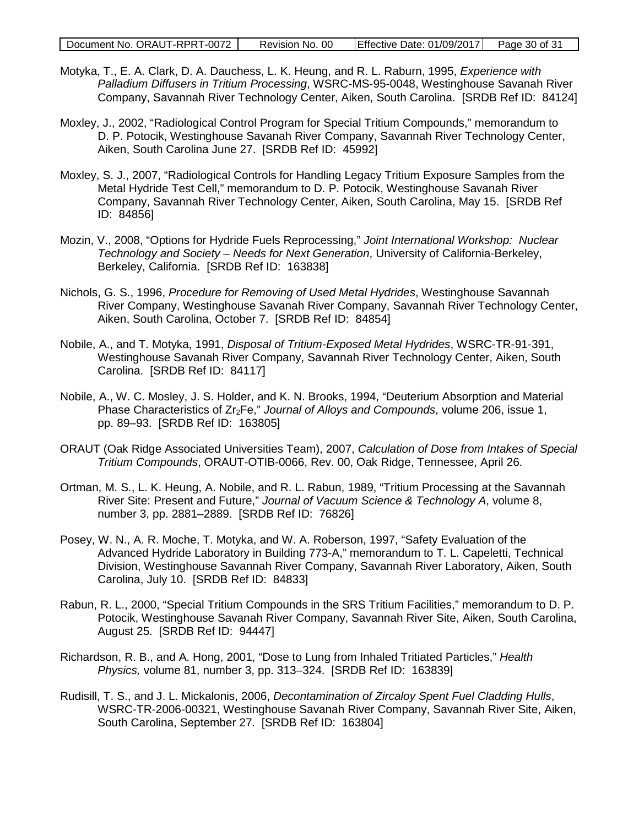- Motyka, T., E. A. Clark, D. A. Dauchess, L. K. Heung, and R. L. Raburn, 1995, *Experience with Palladium Diffusers in Tritium Processing*, WSRC-MS-95-0048, Westinghouse Savanah River Company, Savannah River Technology Center, Aiken, South Carolina. [SRDB Ref ID: 84124]
- Moxley, J., 2002, "Radiological Control Program for Special Tritium Compounds," memorandum to D. P. Potocik, Westinghouse Savanah River Company, Savannah River Technology Center, Aiken, South Carolina June 27. [SRDB Ref ID: 45992]
- Moxley, S. J., 2007, "Radiological Controls for Handling Legacy Tritium Exposure Samples from the Metal Hydride Test Cell," memorandum to D. P. Potocik, Westinghouse Savanah River Company, Savannah River Technology Center, Aiken, South Carolina, May 15. [SRDB Ref ID: 84856]
- Mozin, V., 2008, "Options for Hydride Fuels Reprocessing," *Joint International Workshop: Nuclear Technology and Society – Needs for Next Generation*, University of California-Berkeley, Berkeley, California. [SRDB Ref ID: 163838]
- Nichols, G. S., 1996, *Procedure for Removing of Used Metal Hydrides*, Westinghouse Savannah River Company, Westinghouse Savanah River Company, Savannah River Technology Center, Aiken, South Carolina, October 7. [SRDB Ref ID: 84854]
- Nobile, A., and T. Motyka, 1991, *Disposal of Tritium-Exposed Metal Hydrides*, WSRC-TR-91-391, Westinghouse Savanah River Company, Savannah River Technology Center, Aiken, South Carolina. [SRDB Ref ID: 84117]
- Nobile, A., W. C. Mosley, J. S. Holder, and K. N. Brooks, 1994, "Deuterium Absorption and Material Phase Characteristics of Zr<sub>2</sub>Fe," *Journal of Alloys and Compounds*, volume 206, issue 1, pp. 89–93. [SRDB Ref ID: 163805]
- ORAUT (Oak Ridge Associated Universities Team), 2007, *Calculation of Dose from Intakes of Special Tritium Compounds*, ORAUT-OTIB-0066, Rev. 00, Oak Ridge, Tennessee, April 26.
- Ortman, M. S., L. K. Heung, A. Nobile, and R. L. Rabun, 1989, "Tritium Processing at the Savannah River Site: Present and Future," *Journal of Vacuum Science & Technology A*, volume 8, number 3, pp. 2881–2889. [SRDB Ref ID: 76826]
- Posey, W. N., A. R. Moche, T. Motyka, and W. A. Roberson, 1997, "Safety Evaluation of the Advanced Hydride Laboratory in Building 773-A," memorandum to T. L. Capeletti, Technical Division, Westinghouse Savannah River Company, Savannah River Laboratory, Aiken, South Carolina, July 10. [SRDB Ref ID: 84833]
- Rabun, R. L., 2000, "Special Tritium Compounds in the SRS Tritium Facilities," memorandum to D. P. Potocik, Westinghouse Savanah River Company, Savannah River Site, Aiken, South Carolina, August 25. [SRDB Ref ID: 94447]
- Richardson, R. B., and A. Hong, 2001, "Dose to Lung from Inhaled Tritiated Particles," *Health Physics,* volume 81, number 3, pp. 313–324. [SRDB Ref ID: 163839]
- Rudisill, T. S., and J. L. Mickalonis, 2006, *Decontamination of Zircaloy Spent Fuel Cladding Hulls*, WSRC-TR-2006-00321, Westinghouse Savanah River Company, Savannah River Site, Aiken, South Carolina, September 27. [SRDB Ref ID: 163804]